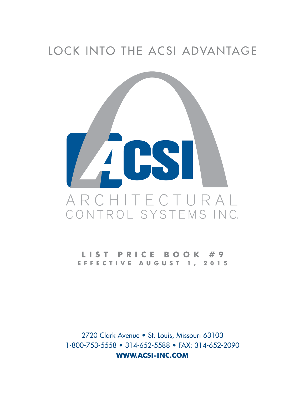# LOCK INTO THE ACSI ADVANTAGE



ST PRICE  $B$  O O K  $# 9$ EFFECTIVE AUGUST 1, 2015

2720 Clark Avenue • St. Louis, Missouri 63103 1-800-753-5558 • 314-652-5588 • FAX: 314-652-2090 **WWW.ACSI-INC.COM**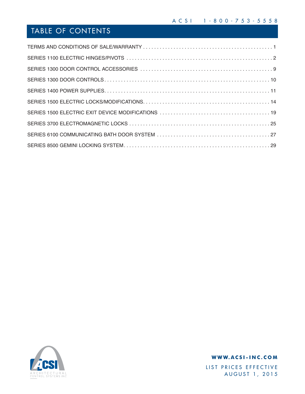## TABLE OF CONTENTS



### **WWW.ACSI-INC.COM**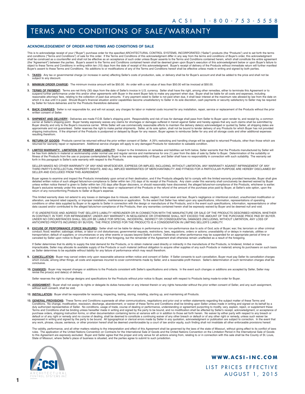## TERMS AND CONDITIONS OF SALE/WARRANTY

#### **ACKNOWLEDGEMENT OF ORDER AND TERMS AND CONDITIONS OF SALE**

This is to acknowledge receipt of your ("Buyer") purchase order for the specified ARCHITECTURAL CONTROL SYSTEMS, INCORPORATED ("Seller") products (the "Products") and to set forth the terms<br>and conditions ("Terms and Condi (the "Agreement") between the parties. Buyer's assent to the Terms and Conditions contained herein shall be deemed given upon Buyer's execution of this acknowledgment below or upon Buyer's failure to<br>object to these Terms Buyer's assent to these Terms and Conditions. No additions to or modifications of any of the Terms and Conditions hereof shall be effective unless made in writing and signed by both parties.

- 1. TAXES: Any tax or governmental charge (or increase in same) affecting Seller's costs of production, sale, or delivery shall be for Buyer's account and shall be added to the price and shall not be subject to any discou
- **2. MINIMUM ORDER CHARGE:** The minimum invoice amount will be \$50.00. An order with a net value of less than \$50.00 will be invoiced at \$50.00.
- 3. TERMS OF PAYMENT: Terms are net thirty (30) days from the date of Seller's invoice in U.S. currency. Seller shall have the right, among other remedies, either to terminate this Agreement or to suspend further performance under this and/or other agreements with Buyer in the event Buyer fails to make any payment when due. Buyer shall be liable for all costs and expenses, including<br>reasonable attorneys' fees, relat by Seller for future deliveries and for the Products theretofore delivered.
- **4. BACK CHARGES:** Seller is not responsible for, and will not accept, any charges for labor or material costs incurred for any installation, repair, service or replacement of the Products without the prior nt of Seller
- 5. SHIPMENT AND DELIVERY: Deliveries are made F.O.B. Seller's shipping point. Responsibility and risk of loss for damage shall pass from Seller to Buyer upon render to, and receipt by, a common carrier at Seller's shipping point. Buyer hereby expressly waives any claims for shortages or damages suffered in transit against Seller and hereby agrees that any such claims shall be submitted by<br>Buyer directly and only shipping instructions. If the shipment of the Products is postponed or delayed by Buyer for any reason, Buyer agrees to reimburse Seller for any and all storage costs and other additional expenses resulting therefrom.
- 6. RETURN OF GOODS: Products cannot be returned without the prior written consent of Seller. A 25% restocking and handling charge will be applied to returned Products, other than those which are returned for warranty repair or replacement. Additional service charges will apply to any damaged Products for restoration to saleable condition.
- **7. LIMITED WARRANTY; LIMITATION OF REMEDY AND LIABILITY:** Subject to the limitations on remedies and liabilities set forth below, Seller warrants that the Products manufactured by Seller will be free from defects in material or workmanship under normal use and regular service and maintenance for one (1) year from the date of sale by Seller to Buyer. Determination of the suitability or<br>fitness of the Products fr forth in this paragraph is Seller's sole warranty with respect to the Products.

SELLER MAKES NO OTHER WARRANTY OF ANY KIND WHATSOEVER, EXPRESS OR IMPLIED, INCLUDING, WITHOUT LIMITATION, ANY WARRANTY AGAINST INFRINGEMENT OF ANY THIRD PARTY'S INTELLECTUAL PROPERTY RIGHTS; AND ALL IMPLIED WARRANTIES OF MERCHANTABILITY AND FITNESS FOR A PARTICULAR PURPOSE ARE HEREBY DISCLAIMED BY SELLER AND EXCLUDED FROM THIS AGREEMENT.

Buyer agrees to examine and inspect the Products immediately upon arrival at their destination, and if the Products allegedly fail to comply with the limited warranty provided hereunder, Buyer shall give<br>detailed written n unless written notice thereof is given to Seller within ten (10) days after Buyer discovers, or should reasonably have discovered, the alleged failure/non-compliance of the Products, whichever is earlier.<br>Buyer's exclusive return of any nonconforming Products to Seller at Buyer's expense.

This limited warranty does not extend to any losses or damages due to misuse, accident, abuse, neglect, normal wear and tear, Buyer's negligence or intentional conduct, unauthorized modification or alteration, use beyond rated capacity, or improper installation, maintenance or application. To the extent that Seller has relied upon any specifications, information, representations of operating<br>conditions or other data

IT IS UNDERSTOOD AND AGREED THAT SELLER'S LIABILITY HEREUNDER OR IN CONNECTION WITH THE MANUFACTURE OR SALE OF THE PRODUCTS DESCRIBED HEREIN, WHETHER IN CONTRACT, IN TORT, FOR INFRINGEMENT, UNDER ANY WARRANTY, IN NEGLIGENCE OR OTHERWISE SHALL NOT EXCEED THE AMOUNT OF THE PURCHASE PRICE PAID BY BUYER.<br>UNDER NO CIRCUMSTANCES SHALL SELLER BE LIABLE FOR SPECIAL, INCIDENTAL,

8. EXCUSE OF PERFORMANCE (FORCE MAJEURE): Seller shall not be liable for delays in performance or for non-performance due to acts of God; acts of Buyer; war; fire; terrorism or other criminal conduct; flood; weather; sabotage; strikes, or labor or civil disturbances; governmental requests, restrictions, laws, regulations, orders or actions; unavailability of or delays in materials, utilities or<br>transportation;

If Seller determines that its ability to supply the total demand for the Products, or to obtain material used directly or indirectly in the manufacture of the Products, is hindered, limited or made impracticable, Seller may allocate its available supply of the Products or such material (without obligation to acquire other supplies of any such Products or material) among its purchasers on such basis<br>as Seller determin

- 9. CANCELLATION: Buyer may cancel orders only upon reasonable advance written notice and consent of Seller. If Seller consents to such cancellation, Buyer must pay Seller its cancellation charges<br>which include, among other conclusive.
- **10. CHANGES:** Buyer may request changes or additions to the Products consistent with Seller's specifications and criteria. In the event such changes or additions are accepted by Seller, Seller may revise the price(s) and date(s) of delivery.
	- Seller reserves the right to change designs and specifications for the Products without prior notice to Buyer, except with respect to Products being made-to-order for Buyer.
- **11. ASSIGNMENT:** Buyer shall not assign its rights or delegate its duties hereunder or any interest therein or any rights hereunder without the prior written consent of Seller, and any such assignment, without such consent, shall be void.
- **12. INSTALLATION:** Buyer shall be responsible for receiving, inspecting, testing, storing, installing, starting up, and maintaining all Products.
- 13. GENERAL PROVISIONS: These Terms and Conditions supersede all other communications, negotiations and prior oral or written statements regarding the subject matter of these Terms and Conditions. No change, modification, rescission, discharge, abandonment, or waiver of these Terms and Conditions shall be binding upon Seller unless made in writing and signed on its behalf by a<br>duly authorized representat purchase orders, shipping instruction forms, or other documentation containing terms at variance with or in addition to those set forth herein. No waiver by either party with respect to any breach or<br>default or of any righ any work, phrase, clause, sentence, or other provision hereof shall be deemed unenforceable by a court of law and/or equity, such finding shall not invalidate all other enforceable provisions hereof.

The validity, performance, and all other matters relating to the interpretation and effect of this Agreement shall be governed by the laws of the state of Missouri, without giving effect to its conflict of laws<br>rules. The State of Missouri, where Seller's place of business is situated, and the parties agree to submit to such jurisdiction.



#### **WWW.ACSI-INC.COM**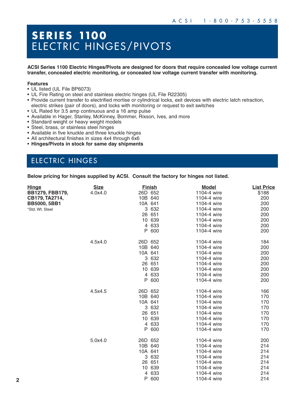## **S E R I E S 1100**  ELECTRIC HINGES/PIVOTS

**ACSI Series 1100 Electric Hinges/Pivots are designed for doors that require concealed low voltage current transfer, concealed electric monitoring, or concealed low voltage current transfer with monitoring.**

#### **Features**

- UL listed (UL File BP6073)
- UL Fire Rating on steel and stainless electric hinges (UL File R22305)
- Provide current transfer to electrified mortise or cylindrical locks, exit devices with electric latch retraction, electric strikes (pair of doors), and locks with monitoring or request to exit switches
- UL Rated for 3.5 amp continuous and a 16 amp pulse
- Available in Hager, Stanley, McKinney, Bommer, Rixson, Ives, and more
- Standard weight or heavy weight models
- Steel, brass, or stainless steel hinges
- Available in five knuckle and three knuckle hinges
- All architectural finishes in sizes 4x4 through 6x6
- **Hinges/Pivots in stock for same day shipments**

## ELECTRIC HINGES

**Below pricing for hinges supplied by ACSI. Consult the factory for hinges not listed.**

| <b>Hinge</b>        | <b>Size</b> |         | <b>Finish</b> | <b>Model</b> | <b>List Price</b> |
|---------------------|-------------|---------|---------------|--------------|-------------------|
| BB1279, FBB179,     | 4.0x4.0     | 26D 652 |               | 1104-4 wire  | \$188             |
| CB179, TA2714,      |             | 10B 640 |               | 1104-4 wire  | 200               |
| <b>BB5000, 5BB1</b> |             | 10A 641 |               | 1104-4 wire  | 200               |
| *Std. Wt. Steel     |             |         | 3 632         | 1104-4 wire  | 200               |
|                     |             |         | 26 651        | 1104-4 wire  | 200               |
|                     |             |         | 10 639        | 1104-4 wire  | 200               |
|                     |             |         | 4 633         | 1104-4 wire  | 200               |
|                     |             | P       | 600           | 1104-4 wire  | 200               |
|                     | 4.5x4.0     | 26D 652 |               | 1104-4 wire  | 184               |
|                     |             | 10B 640 |               | 1104-4 wire  | 200               |
|                     |             | 10A 641 |               | 1104-4 wire  | 200               |
|                     |             |         | 3 632         | 1104-4 wire  | 200               |
|                     |             |         | 26 651        | 1104-4 wire  | 200               |
|                     |             |         | 10 639        | 1104-4 wire  | 200               |
|                     |             |         | 4 633         | 1104-4 wire  | 200               |
|                     |             | P       | 600           | 1104-4 wire  | 200               |
|                     | 4.5x4.5     | 26D 652 |               | 1104-4 wire  | 166               |
|                     |             | 10B 640 |               | 1104-4 wire  | 170               |
|                     |             | 10A 641 |               | 1104-4 wire  | 170               |
|                     |             |         | 3 632         | 1104-4 wire  | 170               |
|                     |             |         | 26 651        | 1104-4 wire  | 170               |
|                     |             |         | 10 639        | 1104-4 wire  | 170               |
|                     |             |         | 4 633         | 1104-4 wire  | 170               |
|                     |             | P       | 600           | 1104-4 wire  | 170               |
|                     | 5.0x4.0     | 26D 652 |               | 1104-4 wire  | 200               |
|                     |             | 10B 640 |               | 1104-4 wire  | 214               |
|                     |             | 10A 641 |               | 1104-4 wire  | 214               |
|                     |             |         | 3 632         | 1104-4 wire  | 214               |
|                     |             |         | 26 651        | 1104-4 wire  | 214               |
|                     |             |         | 10 639        | 1104-4 wire  | 214               |
|                     |             | 4       | 633           | 1104-4 wire  | 214               |
|                     |             | P       | 600           | 1104-4 wire  | 214               |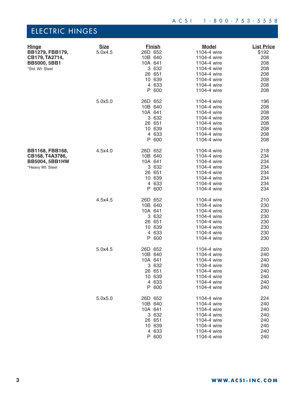| <u>Hinge</u><br>BB1279, FBB179,<br>CB179, TA2714,<br><b>BB5000, 5BB1</b><br>*Std. Wt. Steel | <b>Size</b><br>5.0x4.5 | <b>Finish</b><br>26D 652<br>10B 640<br>10A 641<br>3 632<br>26 651<br>10 639<br>4 633<br>P<br>600 | <u>Model</u><br>1104-4 wire<br>1104-4 wire<br>1104-4 wire<br>1104-4 wire<br>1104-4 wire<br>1104-4 wire<br>1104-4 wire<br>1104-4 wire | <b>List Price</b><br>\$192<br>208<br>208<br>208<br>208<br>208<br>208<br>208 |
|---------------------------------------------------------------------------------------------|------------------------|--------------------------------------------------------------------------------------------------|--------------------------------------------------------------------------------------------------------------------------------------|-----------------------------------------------------------------------------|
|                                                                                             | 5.0x5.0                | 26D 652<br>10B 640<br>10A 641<br>3 632<br>26 651<br>10 639<br>4 633<br>P<br>600                  | 1104-4 wire<br>1104-4 wire<br>1104-4 wire<br>1104-4 wire<br>1104-4 wire<br>1104-4 wire<br>1104-4 wire<br>1104-4 wire                 | 196<br>208<br>208<br>208<br>208<br>208<br>208<br>208                        |
| BB1168, FBB168,<br>CB168, T4A3786,<br><b>BB5004, 5BB1HW</b><br>*Heavy Wt. Steel             | 4.5x4.0                | 26D 652<br>10B 640<br>10A 641<br>3 632<br>26 651<br>10 639<br>4 633<br>P<br>600                  | 1104-4 wire<br>1104-4 wire<br>1104-4 wire<br>1104-4 wire<br>1104-4 wire<br>1104-4 wire<br>1104-4 wire<br>1104-4 wire                 | 218<br>234<br>234<br>234<br>234<br>234<br>234<br>234                        |
|                                                                                             | 4.5x4.5                | 26D 652<br>10B 640<br>10A 641<br>3 632<br>26 651<br>10 639<br>4 633<br>600<br>P                  | 1104-4 wire<br>1104-4 wire<br>1104-4 wire<br>1104-4 wire<br>1104-4 wire<br>1104-4 wire<br>1104-4 wire<br>1104-4 wire                 | 210<br>230<br>230<br>230<br>230<br>230<br>230<br>230                        |
|                                                                                             | 5.0x4.5                | 26D 652<br>10B 640<br>10A 641<br>3 632<br>26 651<br>10 639<br>4 633<br>600<br>P                  | 1104-4 wire<br>1104-4 wire<br>1104-4 wire<br>1104-4 wire<br>1104-4 wire<br>1104-4 wire<br>1104-4 wire<br>1104-4 wire                 | 220<br>240<br>240<br>240<br>240<br>240<br>240<br>240                        |
|                                                                                             | 5.0x5.0                | 26D 652<br>10B 640<br>10A 641<br>3 632<br>26 651<br>10 639<br>4 633<br>P 600                     | 1104-4 wire<br>1104-4 wire<br>1104-4 wire<br>1104-4 wire<br>1104-4 wire<br>1104-4 wire<br>1104-4 wire<br>1104-4 wire                 | 224<br>240<br>240<br>240<br>240<br>240<br>240<br>240                        |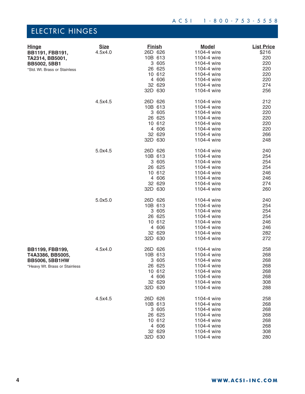| <b>Hinge</b><br>BB1191, FBB191,<br>TA2314, BB5001,<br><b>BB5002, 5BB1</b><br>*Std. Wt. Brass or Stainless | <b>Size</b><br>4.5x4.0 | <b>Finish</b><br>26D 626<br>10B 613<br>3 605<br>26 625<br>10 612<br>4 606<br>32 629<br>32D 630 | <b>Model</b><br>1104-4 wire<br>1104-4 wire<br>1104-4 wire<br>1104-4 wire<br>1104-4 wire<br>1104-4 wire<br>1104-4 wire<br>1104-4 wire | <b>List Price</b><br>\$216<br>220<br>220<br>220<br>220<br>220<br>274<br>256 |
|-----------------------------------------------------------------------------------------------------------|------------------------|------------------------------------------------------------------------------------------------|--------------------------------------------------------------------------------------------------------------------------------------|-----------------------------------------------------------------------------|
|                                                                                                           | 4.5x4.5                | 26D 626<br>10B 613<br>3 605<br>26 625<br>10 612<br>4 606<br>32 629<br>32D 630                  | 1104-4 wire<br>1104-4 wire<br>1104-4 wire<br>1104-4 wire<br>1104-4 wire<br>1104-4 wire<br>1104-4 wire<br>1104-4 wire                 | 212<br>220<br>220<br>220<br>220<br>220<br>266<br>248                        |
|                                                                                                           | 5.0x4.5                | 26D 626<br>10B 613<br>3 605<br>26 625<br>10 612<br>4 606<br>32 629<br>32D 630                  | 1104-4 wire<br>1104-4 wire<br>1104-4 wire<br>1104-4 wire<br>1104-4 wire<br>1104-4 wire<br>1104-4 wire<br>1104-4 wire                 | 240<br>254<br>254<br>254<br>246<br>246<br>274<br>260                        |
|                                                                                                           | 5.0x5.0                | 26D 626<br>10B 613<br>3 605<br>26 625<br>10 612<br>4 606<br>32 629<br>32D 630                  | 1104-4 wire<br>1104-4 wire<br>1104-4 wire<br>1104-4 wire<br>1104-4 wire<br>1104-4 wire<br>1104-4 wire<br>1104-4 wire                 | 240<br>254<br>254<br>254<br>246<br>246<br>282<br>272                        |
| BB1199, FBB199,<br>T4A3386, BB5005,<br><b>BB5006, 5BB1HW</b><br>*Heavy Wt. Brass or Stainless             | 4.5x4.0                | 26D 626<br>10B 613<br>3 605<br>26 625<br>10 612<br>4 606<br>32 629<br>32D 630                  | 1104-4 wire<br>1104-4 wire<br>1104-4 wire<br>1104-4 wire<br>1104-4 wire<br>1104-4 wire<br>1104-4 wire<br>1104-4 wire                 | 258<br>268<br>268<br>268<br>268<br>268<br>308<br>288                        |
|                                                                                                           | 4.5x4.5                | 26D 626<br>10B 613<br>3 605<br>26 625<br>10 612<br>4 606<br>32 629<br>32D 630                  | 1104-4 wire<br>1104-4 wire<br>1104-4 wire<br>1104-4 wire<br>1104-4 wire<br>1104-4 wire<br>1104-4 wire<br>1104-4 wire                 | 258<br>268<br>268<br>268<br>268<br>268<br>308<br>280                        |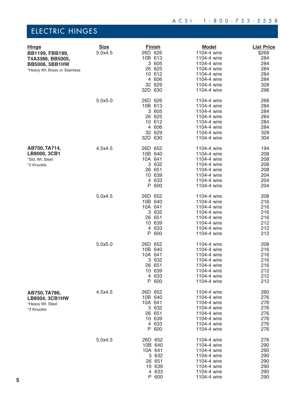| <b>Hinge</b><br>BB1199, FBB199,<br>T4A3386, BB5005,<br><b>BB5006, 5BB1HW</b><br>*Heavy Wt. Brass or Stainless | <b>Size</b><br>5.0x4.5 | <b>Finish</b><br>26D 626<br>10B 613<br>3 605<br>26 625<br>10 612<br>4 606<br>32 629<br>32D 630 | <b>Model</b><br>1104-4 wire<br>1104-4 wire<br>1104-4 wire<br>1104-4 wire<br>1104-4 wire<br>1104-4 wire<br>1104-4 wire<br>1104-4 wire | <b>List Price</b><br>\$268<br>284<br>284<br>284<br>284<br>284<br>328<br>296 |
|---------------------------------------------------------------------------------------------------------------|------------------------|------------------------------------------------------------------------------------------------|--------------------------------------------------------------------------------------------------------------------------------------|-----------------------------------------------------------------------------|
|                                                                                                               | 5.0x5.0                | 26D 626<br>10B 613<br>3 605<br>26 625<br>10 612<br>4 606<br>32 629<br>32D 630                  | 1104-4 wire<br>1104-4 wire<br>1104-4 wire<br>1104-4 wire<br>1104-4 wire<br>1104-4 wire<br>1104-4 wire<br>1104-4 wire                 | 268<br>284<br>284<br>284<br>284<br>284<br>328<br>304                        |
| AB700, TA714,<br>LB8000, 3CB1<br>*Std. Wt. Steel<br>*3 Knuckle                                                | 4.5x4.5                | 26D 652<br>10B 640<br>10A 641<br>3 6 3 2<br>26 651<br>10 639<br>4 633<br>P 600                 | 1104-4 wire<br>1104-4 wire<br>1104-4 wire<br>1104-4 wire<br>1104-4 wire<br>1104-4 wire<br>1104-4 wire<br>1104-4 wire                 | 194<br>208<br>208<br>208<br>208<br>204<br>204<br>204                        |
|                                                                                                               | 5.0x4.5                | 26D 652<br>10B 640<br>10A 641<br>3 6 3 2<br>26 651<br>10 639<br>4 633<br>P 600                 | 1104-4 wire<br>1104-4 wire<br>1104-4 wire<br>1104-4 wire<br>1104-4 wire<br>1104-4 wire<br>1104-4 wire<br>1104-4 wire                 | 208<br>216<br>216<br>216<br>216<br>212<br>212<br>212                        |
|                                                                                                               | 5.0x5.0                | 26D 652<br>10B 640<br>10A 641<br>3 632<br>26 651<br>10 639<br>4 633<br>P 600                   | 1104-4 wire<br>1104-4 wire<br>1104-4 wire<br>1104-4 wire<br>1104-4 wire<br>1104-4 wire<br>1104-4 wire<br>1104-4 wire                 | 208<br>216<br>216<br>216<br>216<br>212<br>212<br>212                        |
| AB750, TA786,<br><b>LB8004, 3CB1HW</b><br>*Heavy Wt. Steel<br>*3 Knuckle                                      | 4.5x4.5                | 26D 652<br>10B 640<br>10A 641<br>3 632<br>26 651<br>10 639<br>4 633<br>P 600                   | 1104-4 wire<br>1104-4 wire<br>1104-4 wire<br>1104-4 wire<br>1104-4 wire<br>1104-4 wire<br>1104-4 wire<br>1104-4 wire                 | 260<br>276<br>276<br>276<br>276<br>276<br>276<br>276                        |
|                                                                                                               | 5.0x4.5                | 26D 652<br>10B 640<br>10A 641<br>3 632<br>26 651<br>10 639<br>4 633<br>P 600                   | 1104-4 wire<br>1104-4 wire<br>1104-4 wire<br>1104-4 wire<br>1104-4 wire<br>1104-4 wire<br>1104-4 wire<br>1104-4 wire                 | 276<br>290<br>290<br>290<br>290<br>290<br>290<br>290                        |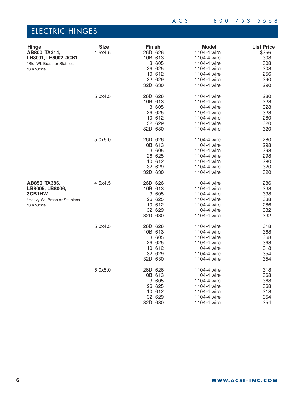| <b>Hinge</b><br>AB800, TA314,<br>LB8001, LB8002, 3CB1<br>*Std. Wt. Brass or Stainless<br>*3 Knuckle | <b>Size</b><br>4.5x4.5 | <b>Finish</b><br>26D 626<br>10B 613<br>3 605<br>26 625<br>10 612<br>32 629<br>32D 630 | <b>Model</b><br>1104-4 wire<br>1104-4 wire<br>1104-4 wire<br>1104-4 wire<br>1104-4 wire<br>1104-4 wire<br>1104-4 wire | <b>List Price</b><br>\$256<br>308<br>308<br>308<br>256<br>290<br>290 |
|-----------------------------------------------------------------------------------------------------|------------------------|---------------------------------------------------------------------------------------|-----------------------------------------------------------------------------------------------------------------------|----------------------------------------------------------------------|
|                                                                                                     | 5.0x4.5                | 26D 626<br>10B 613<br>3 605<br>26 625<br>10 612<br>32 629<br>32D 630                  | 1104-4 wire<br>1104-4 wire<br>1104-4 wire<br>1104-4 wire<br>1104-4 wire<br>1104-4 wire<br>1104-4 wire                 | 280<br>328<br>328<br>328<br>280<br>320<br>320                        |
|                                                                                                     | 5.0x5.0                | 26D 626<br>10B 613<br>3 605<br>26 625<br>10 612<br>32 629<br>32D 630                  | 1104-4 wire<br>1104-4 wire<br>1104-4 wire<br>1104-4 wire<br>1104-4 wire<br>1104-4 wire<br>1104-4 wire                 | 280<br>298<br>298<br>298<br>280<br>320<br>320                        |
| AB850, TA386,<br>LB8005, LB8006,<br>3CB1HW<br>*Heavy Wt. Brass or Stainless<br>*3 Knuckle           | 4.5x4.5                | 26D 626<br>10B 613<br>3 605<br>26 625<br>10 612<br>32 629<br>32D 630                  | 1104-4 wire<br>1104-4 wire<br>1104-4 wire<br>1104-4 wire<br>1104-4 wire<br>1104-4 wire<br>1104-4 wire                 | 286<br>338<br>338<br>338<br>286<br>332<br>332                        |
|                                                                                                     | 5.0x4.5                | 26D 626<br>10B 613<br>3 605<br>26 625<br>10 612<br>32 629<br>32D 630                  | 1104-4 wire<br>1104-4 wire<br>1104-4 wire<br>1104-4 wire<br>1104-4 wire<br>1104-4 wire<br>1104-4 wire                 | 318<br>368<br>368<br>368<br>318<br>354<br>354                        |
|                                                                                                     | 5.0x5.0                | 26D 626<br>10B 613<br>3 605<br>26 625<br>10 612<br>32 629<br>32D 630                  | 1104-4 wire<br>1104-4 wire<br>1104-4 wire<br>1104-4 wire<br>1104-4 wire<br>1104-4 wire<br>1104-4 wire                 | 318<br>368<br>368<br>368<br>318<br>354<br>354                        |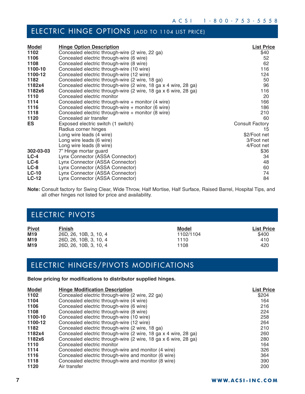## ELECTRIC HINGE OPTIONS (ADD TO 1104 LIST PRICE)

| <b>Model</b> | <b>Hinge Option Description</b>                                 | <b>List Price</b> |
|--------------|-----------------------------------------------------------------|-------------------|
| 1102         | Concealed electric through-wire (2 wire, 22 ga)                 | \$40              |
| 1106         | Concealed electric through-wire (6 wire)                        | 52                |
| 1108         | Concealed electric through-wire (8 wire)                        | 62                |
| 1100-10      | Concealed electric through-wire (10 wire)                       | 116               |
| 1100-12      | Concealed electric through-wire (12 wire)                       | 124               |
| 1182         | Concealed electric through-wire (2 wire, 18 ga)                 | 50                |
| 1182x4       | Concealed electric through-wire (2 wire, 18 ga x 4 wire, 28 ga) | 96                |
| 1182x6       | Concealed electric through-wire (2 wire, 18 ga x 6 wire, 28 ga) | 116               |
| 1110         | Concealed electric monitor                                      | 20                |
| 1114         | Concealed electric through-wire + monitor (4 wire)              | 166               |
| 1116         | Concealed electric through-wire + monitor (6 wire)              | 186               |
| 1118         | Concealed electric through-wire + monitor (8 wire)              | 210               |
| 1120         | Concealed air transfer                                          | 60                |
| <b>ES</b>    | Exposed electric switch (1 switch)                              | Consult Factory   |
|              | Radius corner hinges                                            | 15                |
|              | Long wire leads (4 wire)                                        | \$2/Foot net      |
|              | Long wire leads (6 wire)                                        | 3/Foot net        |
|              | Long wire leads (8 wire)                                        | 4/Foot net        |
| 302-03-03    | 7" Hinge mortar guard                                           | \$36              |
| $LC-4$       | Lynx Connector (ASSA Connector)                                 | 34                |
| $LC-6$       | Lynx Connector (ASSA Connector)                                 | 48                |
| $LC-8$       | Lynx Connector (ASSA Connector)                                 | 60                |
| $LC-10$      | Lynx Connector (ASSA Connector)                                 | 74                |
| <b>LC-12</b> | Lynx Connector (ASSA Connector)                                 | 84                |

**Note:** Consult factory for Swing Clear, Wide Throw, Half Mortise, Half Surface, Raised Barrel, Hospital Tips, and all other hinges not listed for price and availability.

## ELECTRIC PIVOTS

| <b>Pivot</b>    | Finish                 | Model     | <b>List Price</b> |
|-----------------|------------------------|-----------|-------------------|
| M <sub>19</sub> | 26D, 26, 10B, 3, 10, 4 | 1102/1104 | \$400             |
| M <sub>19</sub> | 26D, 26, 10B, 3, 10, 4 | 1110      | 410               |
| M <sub>19</sub> | 26D, 26, 10B, 3, 10, 4 | 1108      | 420               |

## ELECTRIC HINGES/PIVOTS MODIFICATIONS

**Below pricing for modifications to distributor supplied hinges.**

| <b>Model</b> | <b>Hinge Modification Description</b>                           | <b>List Price</b> |
|--------------|-----------------------------------------------------------------|-------------------|
| 1102         | Concealed electric through-wire (2 wire, 22 ga)                 | \$204             |
| 1104         | Concealed electric through-wire (4 wire)                        | 164               |
| 1106         | Concealed electric through-wire (6 wire)                        | 216               |
| 1108         | Concealed electric through-wire (8 wire)                        | 224               |
| 1100-10      | Concealed electric through-wire (10 wire)                       | 258               |
| 1100-12      | Concealed electric through-wire (12 wire)                       | 264               |
| 1182         | Concealed electric through-wire (2 wire, 18 ga)                 | 210               |
| 1182x4       | Concealed electric through-wire (2 wire, 18 ga x 4 wire, 28 ga) | 260               |
| 1182x6       | Concealed electric through-wire (2 wire, 18 ga x 6 wire, 28 ga) | 280               |
| 1110         | Concealed electric monitor                                      | 164               |
| 1114         | Concealed electric through-wire and monitor (4 wire)            | 326               |
| 1116         | Concealed electric through-wire and monitor (6 wire)            | 364               |
| 1118         | Concealed electric through-wire and monitor (8 wire)            | 390               |
| 1120         | Air transfer                                                    | 200               |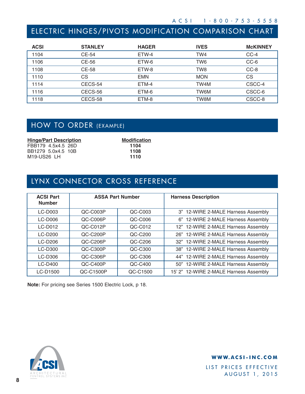## ELECTRIC HINGES/PIVOTS MODIFICATION COMPARISON CHART

| <b>ACSI</b> | <b>STANLEY</b> | <b>HAGER</b> | <b>IVES</b> | <b>McKINNEY</b> |
|-------------|----------------|--------------|-------------|-----------------|
| 1104        | CE-54          | ETW-4        | TW4         | $CC-4$          |
| 1106        | CE-56          | ETW-6        | TW6         | CC-6            |
| 1108        | CE-58          | ETW-8        | TW8         | $CC-8$          |
| 1110        | СS             | <b>EMN</b>   | <b>MON</b>  | СS              |
| 1114        | CECS-54        | ETM-4        | TW4M        | CSCC-4          |
| 1116        | CECS-56        | ETM-6        | TW6M        | CSCC-6          |
| 1118        | CECS-58        | ETM-8        | TW8M        | CSCC-8          |

## HOW TO ORDER (EXAMPLE)

| <b>Hinge/Part Description</b> | <b>Modification</b> |
|-------------------------------|---------------------|
| FBB179 4.5x4.5 26D            | 1104                |
| BB1279 5.0x4.5 10B            | 1108                |
| M19-US26 LH                   | 1110                |

## LYNX CONNECTOR CROSS REFERENCE

| <b>ACSI Part</b><br><b>Number</b> | <b>ASSA Part Number</b> |           | <b>Harness Description</b>             |
|-----------------------------------|-------------------------|-----------|----------------------------------------|
| $LC-DOO3$                         | QC-C003P                | QC-C003   | 3" 12-WIRE 2-MALE Harness Assembly     |
| <b>LC-D006</b>                    | QC-C006P                | QC-C006   | 6" 12-WIRE 2-MALE Harness Assembly     |
| <b>LC-D012</b>                    | QC-C012P                | QC-C012   | 12" 12-WIRE 2-MALE Harness Assembly    |
| <b>LC-D200</b>                    | QC-C200P                | QC-C200   | 26" 12-WIRE 2-MALE Harness Assembly    |
| <b>LC-D206</b>                    | QC-C206P                | QC-C206   | 32" 12-WIRE 2-MALE Harness Assembly    |
| <b>LC-D300</b>                    | QC-C300P                | QC-C300   | 38" 12-WIRE 2-MALE Harness Assembly    |
| <b>LC-D306</b>                    | $OC-C306P$              | QC-C306   | 44" 12-WIRE 2-MALE Harness Assembly    |
| <b>LC-D400</b>                    | QC-C400P                | $QC-C400$ | 50" 12-WIRE 2-MALE Harness Assembly    |
| LC-D1500                          | QC-C1500P               | QC-C1500  | 15' 2" 12-WIRE 2-MALE Harness Assembly |

**Note:** For pricing see Series 1500 Electric Lock, p 18.



**WWW.ACSI-INC.COM**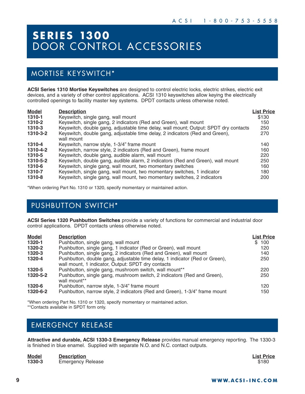## **S E R I E S 1300**  DOOR CONTROL ACCESSORIES

## MORTISE KEYSWITCH\*

**ACSI Series 1310 Mortise Keyswitches** are designed to control electric locks, electric strikes, electric exit devices, and a variety of other control applications. ACSI 1310 keyswitches allow keying the electrically controlled openings to facility master key systems. DPDT contacts unless otherwise noted.

| <b>Model</b> | <b>Description</b>                                                                   | <b>List Price</b> |
|--------------|--------------------------------------------------------------------------------------|-------------------|
| 1310-1       | Keyswitch, single gang, wall mount                                                   | \$130             |
| 1310-2       | Keyswitch, single gang, 2 indicators (Red and Green), wall mount                     | 150               |
| 1310-3       | Keyswitch, double gang, adjustable time delay, wall mount; Output: SPDT dry contacts | 250               |
| 1310-3-2     | Keyswitch, double gang, adjustable time delay, 2 indicators (Red and Green),         | 270               |
|              | wall mount                                                                           |                   |
| 1310-4       | Keyswitch, narrow style, 1-3/4" frame mount                                          | 140               |
| 1310-4-2     | Keyswitch, narrow style, 2 indicators (Red and Green), frame mount                   | 160               |
| 1310-5       | Keyswitch, double gang, audible alarm, wall mount                                    | 220               |
| 1310-5-2     | Keyswitch, double gang, audible alarm, 2 indicators (Red and Green), wall mount      | 250               |
| 1310-6       | Keyswitch, single gang, wall mount, two momentary switches                           | 160               |
| 1310-7       | Keyswitch, single gang, wall mount, two momentary switches, 1 indicator              | 180               |
| 1310-8       | Keyswitch, single gang, wall mount, two momentary switches, 2 indicators             | 200               |

\*When ordering Part No. 1310 or 1320, specify momentary or maintained action.

## PUSHBUTTON SWITCH\*

**ACSI Series 1320 Pushbutton Switches** provide a variety of functions for commercial and industrial door control applications. DPDT contacts unless otherwise noted.

| <b>Model</b> | <b>Description</b>                                                                                                                | <b>List Price</b> |
|--------------|-----------------------------------------------------------------------------------------------------------------------------------|-------------------|
| 1320-1       | Pushbutton, single gang, wall mount                                                                                               | \$100             |
| 1320-2       | Pushbutton, single gang, 1 indicator (Red or Green), wall mount                                                                   | 120               |
| 1320-3       | Pushbutton, single gang, 2 indicators (Red and Green), wall mount                                                                 | 140               |
| 1320-4       | Pushbutton, double gang, adjustable time delay, 1 indicator (Red or Green),<br>wall mount, 1 indicator, Output: SPDT dry contacts | 250               |
| 1320-5       | Pushbutton, single gang, mushroom switch, wall mount**                                                                            | 220               |
| 1320-5-2     | Pushbutton, single gang, mushroom switch, 2 indicators (Red and Green),<br>wall mount**                                           | 250               |
| 1320-6       | Pushbutton, narrow style, 1-3/4" frame mount                                                                                      | 120               |
| 1320-6-2     | Pushbutton, narrow style, 2 indicators (Red and Green), 1-3/4" frame mount                                                        | 150               |

\*When ordering Part No. 1310 or 1320, specify momentary or maintained action. \*\*Contacts available in SPDT form only.

## EMERGENCY RELEASE

**Attractive and durable, ACSI 1330-3 Emergency Release** provides manual emergency reporting. The 1330-3 is finished in blue enamel. Supplied with separate N.O. and N.C. contact outputs.

| <b>Model</b> | <b>Description</b>       | <b>List Price</b> |
|--------------|--------------------------|-------------------|
| 1330-3       | <b>Emergency Release</b> | \$180             |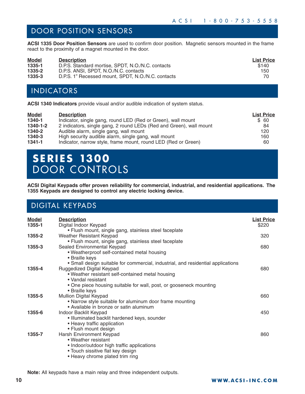### DOOR POSITION SENSORS

**ACSI 1335 Door Position Sensors** are used to confirm door position. Magnetic sensors mounted in the frame react to the proximity of a magnet mounted in the door.

| <b>Model</b> | <b>Description</b>                                 | <b>List Price</b> |
|--------------|----------------------------------------------------|-------------------|
| 1335-1       | D.P.S. Standard mortise, SPDT, N.O./N.C. contacts  | \$140             |
| 1335-2       | D.P.S. ANSI, SPDT, N.O./N.C. contacts              | 150               |
| 1335-3       | D.P.S. 1" Recessed mount, SPDT, N.O./N.C. contacts | 70                |

### INDICATORS

**ACSI 1340 Indicators** provide visual and/or audible indication of system status.

| <b>Model</b> | <b>Description</b>                                                  | <b>List Price</b> |
|--------------|---------------------------------------------------------------------|-------------------|
| 1340-1       | Indicator, single gang, round LED (Red or Green), wall mount        | \$ 60             |
| 1340-1-2     | 2 indicators, single gang, 2 round LEDs (Red and Green), wall mount | 84                |
| 1340-2       | Audible alarm, single gang, wall mount                              | 120               |
| 1340-3       | High security audible alarm, single gang, wall mount                | 160               |
| 1341-1       | Indicator, narrow style, frame mount, round LED (Red or Green)      | 60                |

## **S E R I E S 1300**  DOOR CONTROLS

**ACSI Digital Keypads offer proven reliability for commercial, industrial, and residential applications. The 1355 Keypads are designed to control any electric locking device.**

### DIGITAL KEYPADS

| Model  | <b>Description</b>                                                               | <b>List Price</b> |
|--------|----------------------------------------------------------------------------------|-------------------|
| 1355-1 | Digital Indoor Keypad                                                            | \$220             |
|        | • Flush mount, single gang, stainless steel faceplate                            |                   |
| 1355-2 | Weather Resistant Keypad                                                         | 320               |
|        | • Flush mount, single gang, stainless steel faceplate                            |                   |
| 1355-3 | Sealed Environmental Keypad                                                      | 680               |
|        | • Weatherproof self-contained metal housing                                      |                   |
|        | • Braille keys                                                                   |                   |
|        | • Small design suitable for commercial, industrial, and residential applications |                   |
| 1355-4 | Ruggedized Digital Keypad                                                        | 680               |
|        | . Weather resistant self-contained metal housing                                 |                   |
|        | • Vandal resistant                                                               |                   |
|        | • One piece housing suitable for wall, post, or gooseneck mounting               |                   |
|        | • Braille keys                                                                   |                   |
| 1355-5 | Mullion Digital Keypad                                                           | 660               |
|        | • Narrow style suitable for aluminum door frame mounting                         |                   |
|        | • Available in bronze or satin aluminum                                          |                   |
| 1355-6 | Indoor Backlit Keypad                                                            | 450               |
|        | • Illuminated backlit hardened keys, sounder                                     |                   |
|        | • Heavy traffic application                                                      |                   |
|        | • Flush mount design                                                             |                   |
| 1355-7 | Harsh Environment Keypad                                                         | 860               |
|        | • Weather resistant                                                              |                   |
|        | • Indoor/outdoor high traffic applications                                       |                   |
|        | • Touch sissitive flat key design                                                |                   |
|        | • Heavy chrome plated trim ring                                                  |                   |

**Note:** All keypads have a main relay and three independent outputs.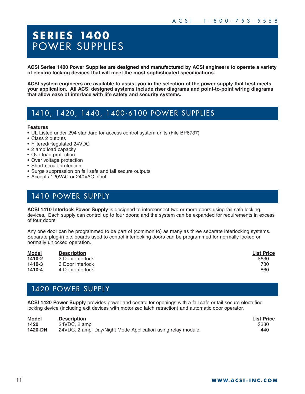## **S E R I E S 1400**  POWER SUPPLIES

**ACSI Series 1400 Power Supplies are designed and manufactured by ACSI engineers to operate a variety of electric locking devices that will meet the most sophisticated specifications.**

**ACSI system engineers are available to assist you in the selection of the power supply that best meets your application. All ACSI designed systems include riser diagrams and point-to-point wiring diagrams that allow ease of interface with life safety and security systems.**

### 1410, 1420, 1440, 1400-6100 POWER SUPPLIES

#### **Features**

- UL Listed under 294 standard for access control system units (File BP6737)
- Class 2 outputs
- Filtered/Regulated 24VDC
- 2 amp load capacity
- Overload protection
- Over voltage protection
- Short circuit protection
- Surge suppression on fail safe and fail secure outputs
- Accepts 120VAC or 240VAC input

## 1410 POWER SUPPLY

**ACSI 1410 Interlock Power Supply** is designed to interconnect two or more doors using fail safe locking devices. Each supply can control up to four doors; and the system can be expanded for requirements in excess of four doors.

Any one door can be programmed to be part of (common to) as many as three separate interlocking systems. Separate plug-in p.c. boards used to control interlocking doors can be programmed for normally locked or normally unlocked operation.

| <b>Model</b> | <b>Description</b> | <b>List Price</b> |
|--------------|--------------------|-------------------|
| 1410-2       | 2 Door interlock   | \$630             |
| 1410-3       | 3 Door interlock   | 730               |
| 1410-4       | 4 Door interlock   | 860               |

### 1420 POWER SUPPLY

**ACSI 1420 Power Supply** provides power and control for openings with a fail safe or fail secure electrified locking device (including exit devices with motorized latch retraction) and automatic door operator.

| <b>Model</b> | <b>Description</b>                                           | <b>List Price</b> |
|--------------|--------------------------------------------------------------|-------------------|
| 1420         | 24VDC, 2 amp                                                 | \$380             |
| 1420-DN      | 24VDC, 2 amp, Day/Night Mode Application using relay module. | 440               |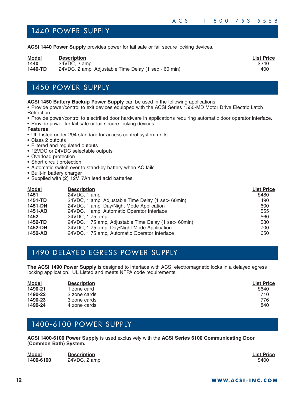### 1440 POWER SUPPLY

**ACSI 1440 Power Supply** provides power for fail safe or fail secure locking devices.

| <b>Model</b> | <b>Description</b>                                   | <b>List Price</b> |
|--------------|------------------------------------------------------|-------------------|
| 1440         | 24VDC, 2 amp                                         | \$340             |
| 1440-TD      | 24VDC, 2 amp, Adjustable Time Delay (1 sec - 60 min) | 400               |

### 1450 POWER SUPPLY

#### **ACSI 1450 Battery Backup Power Supply** can be used in the following applications:

• Provide power/control to exit devices equipped with the ACSI Series 1550-MD Motor Drive Electric Latch Retraction.

- Provide power/control to electrified door hardware in applications requiring automatic door operator interface.
- Provide power for fail safe or fail secure locking devices.
- **Features**
- UL Listed under 294 standard for access control system units
- Class 2 outputs
- Filtered and regulated outputs
- 12VDC or 24VDC selectable outputs
- Overload protection
- Short circuit protection
- Automatic switch over to stand-by battery when AC fails
- Built-in battery charger
- Supplied with (2) 12V, 7Ah lead acid batteries

| <b>Model</b> | <b>Description</b>                                   | <b>List Price</b> |
|--------------|------------------------------------------------------|-------------------|
| 1451         | 24VDC, 1 amp                                         | \$480             |
| 1451-TD      | 24VDC, 1 amp, Adjustable Time Delay (1 sec- 60min)   | 490               |
| 1451-DN      | 24VDC, 1 amp, Day/Night Mode Application             | 600               |
| 1451-AO      | 24VDC, 1 amp, Automatic Operator Interface           | 555               |
| 1452         | 24VDC, 1.75 amp                                      | 560               |
| 1452-TD      | 24VDC, 1.75 amp, Adjustable Time Delay (1 sec-60min) | 580               |
| 1452-DN      | 24VDC, 1.75 amp, Day/Night Mode Application          | 700               |
| 1452-AO      | 24VDC, 1.75 amp, Automatic Operator Interface        | 650               |

### 1490 DELAYED EGRESS POWER SUPPLY

**The ACSI 1490 Power Supply** is designed to interface with ACSI electromagnetic locks in a delayed egress locking application. UL Listed and meets NFPA code requirements.

| <b>Model</b> | <b>Description</b> | <b>List Price</b> |
|--------------|--------------------|-------------------|
| 1490-21      | zone card          | \$640             |
| 1490-22      | 2 zone cards       | 710               |
| 1490-23      | 3 zone cards       | 776               |
| 1490-24      | 4 zone cards       | 840               |

### 1400-6100 POWER SUPPLY

**ACSI 1400-6100 Power Supply** is used exclusively with the **ACSI Series 6100 Communicating Door (Common Bath) System.**

| <b>Model</b> | <b>Description</b> | <b>List Price</b> |
|--------------|--------------------|-------------------|
| 1400-6100    | 24VDC, 2 amp       | \$400             |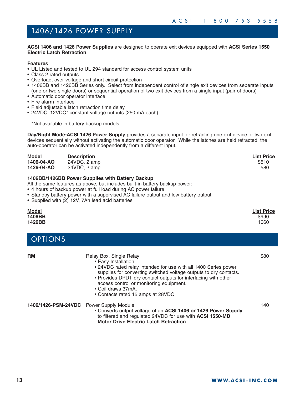## 1406/1426 POWER SUPPLY

**ACSI 1406 and 1426 Power Supplies** are designed to operate exit devices equipped with **ACSI Series 1550 Electric Latch Retraction**.

#### **Features**

- UL Listed and tested to UL 294 standard for access control system units
- Class 2 rated outputs
- Overload, over voltage and short circuit protection
- 1406BB and 1426BB Series only. Select from independent control of single exit devices from seperate inputs (one or two single doors) or sequential operation of two exit devices from a single input (pair of doors)
- Automatic door operator interface
- Fire alarm interface
- Field adjustable latch retraction time delay
- 24VDC, 12VDC\* constant voltage outputs (250 mA each)

\*Not available in battery backup models

**Day/Night Mode-ACSI 1426 Power Supply** provides a separate input for retracting one exit device or two exit devices sequentially without activating the automatic door operator. While the latches are held retracted, the auto-operator can be activated independently from a different input.

| <b>Model</b> | <b>Description</b> | <b>List Price</b> |
|--------------|--------------------|-------------------|
| 1406-04-AO   | 24VDC, 2 amp       | \$510             |
| 1426-04-AO   | 24VDC, 2 amp       | 580               |
|              |                    |                   |

#### **1406BB/1426BB Power Supplies with Battery Backup**

All the same features as above, but includes built-in battery backup power:

- 4 hours of backup power at full load during AC power failure
- Standby battery power with a supervised AC failure output and low battery output
- Supplied with (2) 12V, 7Ah lead acid batteries

| Model<br>1406BB<br>1426BB |                                                                                                                                                                                                                                                                                                                                                                | <b>List Price</b><br>\$990<br>1060 |
|---------------------------|----------------------------------------------------------------------------------------------------------------------------------------------------------------------------------------------------------------------------------------------------------------------------------------------------------------------------------------------------------------|------------------------------------|
| <b>OPTIONS</b>            |                                                                                                                                                                                                                                                                                                                                                                |                                    |
| RM                        | Relay Box, Single Relay<br>• Easy Installation<br>• 24VDC rated relay intended for use with all 1400 Series power<br>supplies for converting switched voltage outputs to dry contacts.<br>• Provides DPDT dry contact outputs for interfacing with other<br>access control or monitoring equipment.<br>• Coil draws 37mA.<br>• Contacts rated 15 amps at 28VDC | \$80                               |
| 1406/1426-PSM-24VDC       | <b>Power Supply Module</b><br>• Converts output voltage of an ACSI 1406 or 1426 Power Supply<br>to filtered and regulated 24VDC for use with ACSI 1550-MD<br><b>Motor Drive Electric Latch Retraction</b>                                                                                                                                                      | 140                                |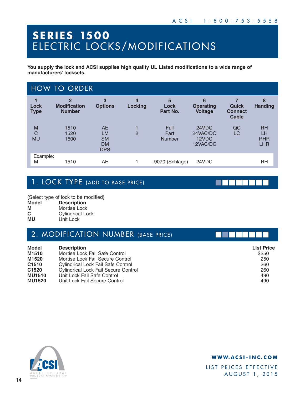## **S E R I E S 1500**  ELECTRIC LOCKS/MODIFICATIONS

**You supply the lock and ACSI supplies high quality UL Listed modifications to a wide range of manufacturers' locksets.**

|                               | <b>HOW TO ORDER</b>                                    |                                                         |                |                               |                                         |                                                |                                             |
|-------------------------------|--------------------------------------------------------|---------------------------------------------------------|----------------|-------------------------------|-----------------------------------------|------------------------------------------------|---------------------------------------------|
| Lock<br><b>Type</b>           | $\overline{2}$<br><b>Modification</b><br><b>Number</b> | 3<br><b>Options</b>                                     | 4<br>Locking   | 5<br>Lock<br>Part No.         | 6<br><b>Operating</b><br><b>Voltage</b> | <b>Quick</b><br><b>Connect</b><br><b>Cable</b> | 8<br><b>Handing</b>                         |
| M<br>$\mathsf C$<br><b>MU</b> | 1510<br>1520<br>1500                                   | <b>AE</b><br>LM<br><b>SM</b><br><b>DM</b><br><b>DPS</b> | $\overline{2}$ | Full<br>Part<br><b>Number</b> | 24VDC<br>24VAC/DC<br>12VDC<br>12VAC/DC  | QC<br>LC                                       | <b>RH</b><br>LH<br><b>RHR</b><br><b>LHR</b> |
| Example:<br>M                 | 1510                                                   | AE                                                      |                | L9070 (Schlage)               | 24VDC                                   |                                                | RH                                          |

## 1. LOCK TYPE (ADD TO BASE PRICE)

(Select type of lock to be modified)<br> **Model** Description

- **Model Description**
- **M Mortise Lock**<br> **C Cylindrical Lo**
- **C** Cylindrical Lock<br> **MU** Unit Lock Unit Lock

| 2. MODIFICATION NUMBER (BASE PRICE) |  |
|-------------------------------------|--|
|-------------------------------------|--|

| <b>Model</b>  | <b>Description</b>                          | <b>List Price</b> |
|---------------|---------------------------------------------|-------------------|
| M1510         | Mortise Lock Fail Safe Control              | \$250             |
| M1520         | Mortise Lock Fail Secure Control            | 250               |
| C1510         | Cylindrical Lock Fail Safe Control          | 260               |
| C1520         | <b>Cylindrical Lock Fail Secure Control</b> | 260               |
| <b>MU1510</b> | Unit Lock Fail Safe Control                 | 490               |
| <b>MU1520</b> | Unit Lock Fail Secure Control               | 490               |



### **WWW.ACSI-INC.COM**

LIST PRICES EFFECTIVE AUGUST 1, 2015

. . . . . .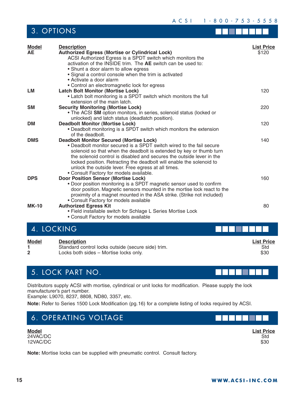ACSI 1-800-753-5558

## 3. OPTIONS

| <b>Model</b> | <b>Description</b>                                                                                                                                                                                                                                                                                                                                                                                                                               | <b>List Price</b> |
|--------------|--------------------------------------------------------------------------------------------------------------------------------------------------------------------------------------------------------------------------------------------------------------------------------------------------------------------------------------------------------------------------------------------------------------------------------------------------|-------------------|
| <b>AE</b>    | <b>Authorized Egress (Mortise or Cylindrical Lock)</b><br>ACSI Authorized Egress is a SPDT switch which monitors the<br>activation of the INSIDE trim. The AE switch can be used to:<br>• Shunt a door alarm to allow egress<br>• Signal a control console when the trim is activated<br>• Activate a door alarm<br>• Control an electromagnetic lock for egress                                                                                 | \$120             |
| LM           | <b>Latch Bolt Monitor (Mortise Lock)</b><br>• Latch bolt monitoring is a SPDT switch which monitors the full<br>extension of the main latch.                                                                                                                                                                                                                                                                                                     | 120               |
| <b>SM</b>    | <b>Security Monitoring (Mortise Lock)</b><br>• The ACSI SM option monitors, in series, solenoid status (locked or<br>unlocked) and latch status (deadlatch position).                                                                                                                                                                                                                                                                            | 220               |
| DM           | <b>Deadbolt Monitor (Mortise Lock)</b><br>• Deadbolt monitoring is a SPDT switch which monitors the extension<br>of the deadbolt.                                                                                                                                                                                                                                                                                                                | 120               |
| <b>DMS</b>   | <b>Deadbolt Monitor Secured (Mortise Lock)</b><br>• Deadbolt monitor secured is a SPDT switch wired to the fail secure<br>solenoid so that when the deadbolt is extended by key or thumb turn<br>the solenoid control is disabled and secures the outside lever in the<br>locked position. Retracting the deadbolt will enable the solenoid to<br>unlock the outside lever. Free egress at all times.<br>• Consult Factory for models available. | 140               |
| <b>DPS</b>   | <b>Door Position Sensor (Mortise Lock)</b><br>• Door position monitoring is a SPDT magnetic sensor used to confirm<br>door position. Magnetic sensors mounted in the mortise lock react to the<br>proximity of a magnet mounted in the ASA strike. (Strike not included)<br>• Consult Factory for models available                                                                                                                               | 160               |
| <b>MK-10</b> | <b>Authorized Egress Kit</b><br>• Field installable switch for Schlage L Series Mortise Lock<br>• Consult Factory for models available                                                                                                                                                                                                                                                                                                           | 80                |
|              | 4. LOCKING                                                                                                                                                                                                                                                                                                                                                                                                                                       |                   |

| <b>Model</b> | <b>Description</b>                                 | <b>List Price</b> |
|--------------|----------------------------------------------------|-------------------|
|              | Standard control locks outside (secure side) trim. | Std               |
|              | Locks both sides – Mortise locks only.             | \$30              |

## 5. LOCK PART NO.

Distributors supply ACSI with mortise, cylindrical or unit locks for modification. Please supply the lock manufacturer's part number.

Example: L9070, 8237, 8808, ND80, 3357, etc.

**Note:** Refer to Series 1500 Lock Modification (pg.16) for a complete listing of locks required by ACSI.

## 6. OPERATING VOLTAGE

**Model List Price** 24VAC/DC Std 12VAC/DC \$30

**Note:** Mortise locks can be supplied with pneumatic control. Consult factory.



n l

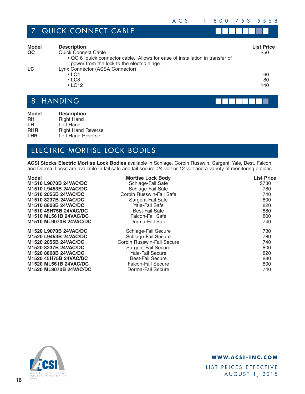## 7. QUICK CONNECT CABLE

n na mata

| <b>Model</b><br>QC | <b>Description</b><br><b>Quick Connect Cable</b><br>• QC 6" quick connector cable. Allows for ease of installation in transfer of<br>power from the lock to the electric hinge. | <b>List Price</b><br>\$50 |
|--------------------|---------------------------------------------------------------------------------------------------------------------------------------------------------------------------------|---------------------------|
| LC                 | Lynx Connector (ASSA Connector)<br>$\cdot$ LC4<br>$\cdot$ LC8<br>$\cdot$ LC12                                                                                                   | 60<br>80<br>140           |

## 8. HANDING

| <b>Model</b> | <b>Description</b>        |
|--------------|---------------------------|
| <b>RH</b>    | <b>Right Hand</b>         |
| LH.          | Left Hand                 |
| <b>RHR</b>   | <b>Right Hand Reverse</b> |
| <b>LHR</b>   | Left Hand Reverse         |

## ELECTRIC MORTISE LOCK BODIES

**ACSI Stocks Electric Mortise Lock Bodies** available in Schlage, Corbin Russwin, Sargent, Yale, Best, Falcon, and Dorma. Locks are available in fail safe and fail secure, 24 volt or 12 volt and a variety of monitoring options.

| <b>Model</b>                  | <b>Mortise Lock Body</b>   | <b>List Price</b> |
|-------------------------------|----------------------------|-------------------|
| M1510 L9070B 24VAC/DC         | Schlage-Fail Safe          | \$730             |
| M1510 L9453B 24VAC/DC         | Schlage-Fail Safe          | 780               |
| M1510 2055B 24VAC/DC          | Corbin Russwin-Fail Safe   | 740               |
| M1510 8237B 24VAC/DC          | Sargent-Fail Safe          | 800               |
| M1510 8808B 24VAC/DC          | Yale-Fail Safe             | 820               |
| M1510 45H75B 24VAC/DC         | <b>Best-Fail Safe</b>      | 880               |
| <b>M1510 ML561B 24VAC/DC</b>  | <b>Falcon-Fail Safe</b>    | 800               |
| <b>M1510 ML9070B 24VAC/DC</b> | Dorma-Fail Safe            | 740               |
| M1520 L9070B 24VAC/DC         | Schlage-Fail Secure        | 730               |
| M1520 L9453B 24VAC/DC         | Schlage-Fail Secure        | 780               |
| M1520 2055B 24VAC/DC          | Corbin Russwin-Fail Secure | 740               |
| M1520 8237B 24VAC/DC          | Sargent-Fail Secure        | 800               |
| M1520 8808B 24VAC/DC          | Yale-Fail Secure           | 820               |
| M1520 45H75B 24VAC/DC         | <b>Best-Fail Secure</b>    | 880               |
| <b>M1520 ML561B 24VAC/DC</b>  | <b>Falcon-Fail Secure</b>  | 800               |
| M1520 ML9070B 24VAC/DC        | Dorma-Fail Secure          | 740               |



### **WWW.ACSI-INC.COM**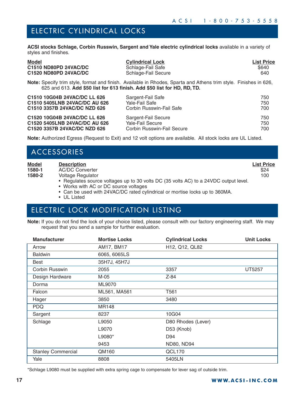### ELECTRIC CYLINDRICAL LOCKS

**ACSI stocks Schlage, Corbin Russwin, Sargent and Yale electric cylindrical locks** available in a variety of styles and finishes.

| <b>Model</b>          | <b>Cylindrical Lock</b> | <b>List Price</b> |
|-----------------------|-------------------------|-------------------|
| C1510 ND80PD 24VAC/DC | Schlage-Fail Safe       | \$640             |
| C1520 ND80PD 24VAC/DC | Schlage-Fail Secure     | 640               |

**Note:** Specify trim style, format and finish. Available in Rhodes, Sparta and Athens trim style. Finishes in 626, 625 and 613. **Add \$50 list for 613 finish. Add \$50 list for HD, RD, TD.**

| C1510 10G04B 24VAC/DC LL 626             | Sargent-Fail Safe          | 750 |
|------------------------------------------|----------------------------|-----|
| C1510 5405LNB 24VAC/DC AU 626            | Yale-Fail Safe             | 750 |
| C <sub>1510</sub> 3357B 24VAC/DC NZD 626 | Corbin Russwin-Fail Safe   | 700 |
| C1520 10G04B 24VAC/DC LL 626             | Sargent-Fail Secure        | 750 |
| C1520 5405LNB 24VAC/DC AU 626            | Yale-Fail Secure           | 750 |
| C1520 3357B 24VAC/DC NZD 626             | Corbin Russwin-Fail Secure | 700 |

**Note:** Authorized Egress (Request to Exit) and 12 volt options are available. All stock locks are UL Listed.

|                                  | ACCESSORIES                                                                                                                                                                                        |                                  |
|----------------------------------|----------------------------------------------------------------------------------------------------------------------------------------------------------------------------------------------------|----------------------------------|
| <b>Model</b><br>1580-1<br>1580-2 | <b>Description</b><br><b>AC/DC Converter</b><br>Voltage Regulator<br>• Regulates source voltages up to 30 volts DC (35 volts AC) to a 24VDC output level.<br>• Works with AC or DC source voltages | <b>List Price</b><br>\$24<br>100 |

• Can be used with 24VAC/DC rated cylindrical or mortise locks up to 360MA.

• UL Listed

## ELECTRIC LOCK MODIFICATION LISTING

**Note:** If you do not find the lock of your choice listed, please consult with our factory engineering staff. We may request that you send a sample for further evaluation.

| <b>Manufacturer</b>       | <b>Mortise Locks</b> | <b>Cylindrical Locks</b> | <b>Unit Locks</b> |
|---------------------------|----------------------|--------------------------|-------------------|
| Arrow                     | AM17, BM17           | H12, Q12, QL82           |                   |
| <b>Baldwin</b>            | 6065, 6065LS         |                          |                   |
| Best                      | 35H7J, 45H7J         |                          |                   |
| Corbin Russwin            | 2055                 | 3357                     | UT5257            |
| Design Hardware           | M-05                 | Z-84                     |                   |
| Dorma                     | ML9070               |                          |                   |
| Falcon                    | ML561, MA561         | T561                     |                   |
| Hager                     | 3850                 | 3480                     |                   |
| <b>PDQ</b>                | <b>MR148</b>         |                          |                   |
| Sargent                   | 8237                 | 10G04                    |                   |
| Schlage                   | L9050                | D80 Rhodes (Lever)       |                   |
|                           | L9070                | D53 (Knob)               |                   |
|                           | L9080*               | D94                      |                   |
|                           | 9453                 | <b>ND80, ND94</b>        |                   |
| <b>Stanley Commercial</b> | QM160                | QCL170                   |                   |
| Yale                      | 8808                 | 5405LN                   |                   |

\*Schlage L9080 must be supplied with extra spring cage to compensate for lever sag of outside trim.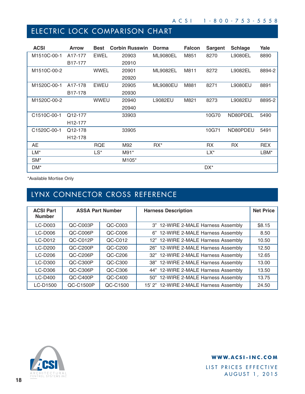## ELECTRIC LOCK COMPARISON CHART

| <b>ACSI</b>     | <b>Arrow</b>         | <b>Best</b> | <b>Corbin Russwin</b> | <b>Dorma</b>    | <b>Falcon</b> | <b>Sargent</b> | <b>Schlage</b> | Yale       |
|-----------------|----------------------|-------------|-----------------------|-----------------|---------------|----------------|----------------|------------|
| M1510C-00-1     | A17-177              | <b>EWEL</b> | 20903                 | <b>ML9080EL</b> | M851          | 8270           | L9080EL        | 8890       |
|                 | B <sub>17</sub> -177 |             | 20910                 |                 |               |                |                |            |
| M1510C-00-2     |                      | <b>WWEL</b> | 20901                 | <b>ML9082EL</b> | M811          | 8272           | L9082EL        | 8894-2     |
|                 |                      |             | 20920                 |                 |               |                |                |            |
| M1520C-00-1     | A17-178              | <b>EWEU</b> | 20905                 | <b>ML9080EU</b> | M881          | 8271           | L9080EU        | 8891       |
|                 | B <sub>17</sub> -178 |             | 20930                 |                 |               |                |                |            |
| M1520C-00-2     |                      | <b>WWEU</b> | 20940                 | L9082EU         | M821          | 8273           | L9082EU        | 8895-2     |
|                 |                      |             | 20940                 |                 |               |                |                |            |
| C1510C-00-1     | Q12-177              |             | 33903                 |                 |               | 10G70          | ND80PDEL       | 5490       |
|                 | H <sub>12</sub> -177 |             |                       |                 |               |                |                |            |
| C1520C-00-1     | Q12-178              |             | 33905                 |                 |               | 10G71          | ND80PDEU       | 5491       |
|                 | H <sub>12</sub> -178 |             |                       |                 |               |                |                |            |
| AE              |                      | <b>RQE</b>  | M92                   | $RX^*$          |               | <b>RX</b>      | <b>RX</b>      | <b>REX</b> |
| LM*             |                      | LS*         | $M91*$                |                 |               | LX*            |                | LBM*       |
| SM <sup>*</sup> |                      |             | M105*                 |                 |               |                |                |            |
| DM*             |                      |             |                       |                 |               | DX*            |                |            |

\*Available Mortise Only

## LYNX CONNECTOR CROSS REFERENCE

| <b>ACSI Part</b><br><b>Number</b> | <b>ASSA Part Number</b> |          | <b>Harness Description</b>             | <b>Net Price</b> |
|-----------------------------------|-------------------------|----------|----------------------------------------|------------------|
| $LC-DOO3$                         | QC-C003P                | QC-C003  | 3" 12-WIRE 2-MALE Harness Assembly     | \$8.15           |
| $LC-DO06$                         | QC-C006P                | QC-C006  | 6" 12-WIRE 2-MALE Harness Assembly     | 8.50             |
| <b>LC-D012</b>                    | QC-C012P                | QC-C012  | 12" 12-WIRE 2-MALE Harness Assembly    | 10.50            |
| $LC-D200$                         | QC-C200P                | QC-C200  | 26" 12-WIRE 2-MALE Harness Assembly    | 12.50            |
| $LC-D206$                         | QC-C206P                | QC-C206  | 32" 12-WIRE 2-MALE Harness Assembly    | 12.65            |
| <b>LC-D300</b>                    | QC-C300P                | QC-C300  | 38" 12-WIRE 2-MALE Harness Assembly    | 13.00            |
| LC-D306                           | $OC-C306P$              | QC-C306  | 44" 12-WIRE 2-MALE Harness Assembly    | 13.50            |
| $LC-D400$                         | QC-C400P                | QC-C400  | 50" 12-WIRE 2-MALE Harness Assembly    | 13.75            |
| LC-D1500                          | QC-C1500P               | QC-C1500 | 15' 2" 12-WIRE 2-MALE Harness Assembly | 24.50            |



### **WWW.ACSI-INC.COM**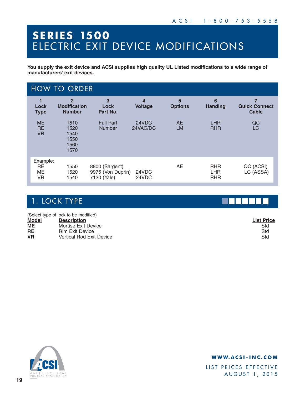# **S E R I E S 1500**  ELECTRIC EXIT DEVICE MODIFICATIONS

**You supply the exit device and ACSI supplies high quality UL Listed modifications to a wide range of manufacturers' exit devices.**

|                                     | <b>HOW TO ORDER</b>                                    |                                                    |                                  |                        |                                        |                                           |
|-------------------------------------|--------------------------------------------------------|----------------------------------------------------|----------------------------------|------------------------|----------------------------------------|-------------------------------------------|
| 1<br>Lock<br><b>Type</b>            | $\overline{2}$<br><b>Modification</b><br><b>Number</b> | 3<br>Lock<br>Part No.                              | $\overline{4}$<br><b>Voltage</b> | 5<br><b>Options</b>    | 6<br><b>Handing</b>                    | 7<br><b>Quick Connect</b><br><b>Cable</b> |
| <b>ME</b><br><b>RE</b><br><b>VR</b> | 1510<br>1520<br>1540<br>1550<br>1560<br>1570           | <b>Full Part</b><br><b>Number</b>                  | 24VDC<br>24VAC/DC                | <b>AE</b><br><b>LM</b> | <b>LHR</b><br><b>RHR</b>               | QC<br>LC                                  |
| Example:<br>RE.<br><b>ME</b><br>VR  | 1550<br>1520<br>1540                                   | 8800 (Sargent)<br>9975 (Von Duprin)<br>7120 (Yale) | 24VDC<br>24VDC                   | AE                     | <b>RHR</b><br><b>LHR</b><br><b>RHR</b> | QC (ACSI)<br>LC (ASSA)                    |

## 1. LOCK TYPE

(Select type of lock to be modified) **Model Description List Price ME** Mortise Exit Device<br> **RE** Rim Exit Device **RE** Rim Exit Device<br> **VR** Vertical Rod Exit **Vertical Rod Exit Device Std** 

| <u>ist Pric</u> |
|-----------------|
| Std             |
| Std             |
| Std             |



### **WWW.ACSI-INC.COM**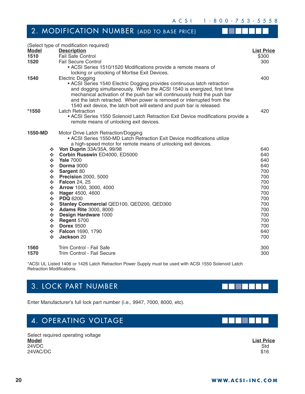ACSI 1-800-753-5558

## 2. MODIFICATION NUMBER (ADD TO BASE PRICE)

|               | (Select type of modification required)                                           |                   |
|---------------|----------------------------------------------------------------------------------|-------------------|
| <b>Model</b>  | <b>Description</b>                                                               | <b>List Price</b> |
| 1510          | <b>Fail Safe Control</b>                                                         | \$300             |
| 1520          | <b>Fail Secure Control</b>                                                       | 300               |
|               | • ACSI Series 1510/1520 Modifications provide a remote means of                  |                   |
|               | locking or unlocking of Mortise Exit Devices.                                    |                   |
| 1540          | <b>Electric Dogging</b>                                                          | 400               |
|               | • ACSI Series 1540 Electric Dogging provides continuous latch retraction         |                   |
|               | and dogging simultaneously. When the ACSI 1540 is energized, first time          |                   |
|               | mechanical activation of the push bar will continuously hold the push bar        |                   |
|               | and the latch retracted. When power is removed or interrupted from the           |                   |
|               | 1540 exit device, the latch bolt will extend and push bar is released.           |                   |
| *1550         | <b>Latch Retraction</b>                                                          | 420               |
|               | • ACSI Series 1550 Solenoid Latch Retraction Exit Device modifications provide a |                   |
|               | remote means of unlocking exit devices.                                          |                   |
| 1550-MD       | Motor Drive Latch Retraction/Dogging                                             |                   |
|               | • ACSI Series 1550-MD Latch Retraction Exit Device modifications utilize         |                   |
|               | a high-speed motor for remote means of unlocking exit devices.                   |                   |
| ❖             | Von Duprin 33A/35A, 99/98                                                        | 640               |
| ❖             | Corbin Russwin ED4000, ED5000                                                    | 640               |
| ❖             | <b>Yale 7000</b>                                                                 | 640               |
| ❖             | <b>Dorma</b> 9000                                                                | 640               |
| ❖             | Sargent 80                                                                       | 700               |
| ❖             | <b>Precision 2000, 5000</b>                                                      | 700               |
| ❖             | <b>Falcon 24, 25</b>                                                             | 700               |
| ❖             | Arrow 1000, 3000, 4000                                                           | 700               |
| ❖             | Hager 4500, 4600                                                                 | 700               |
| $\frac{1}{2}$ | <b>PDQ 6200</b>                                                                  | 700               |
| ❖             | Stanley Commercial QED100, QED200, QED300                                        | 700               |
| ❖             | <b>Adams Rite 3000, 8000</b>                                                     | 700               |
| ❖             | Design Hardware 1000                                                             | 700               |
| ÷             | Regent 5700                                                                      | 700               |
| ❖             | <b>Dorex 9500</b>                                                                | 700               |
| ❖             | Falcon 1690, 1790                                                                | 640               |
| ❖             | Jackson 20                                                                       | 700               |
| 1560          | Trim Control - Fail Safe                                                         | 300               |
| 1570          | Trim Control - Fail Secure                                                       | 300               |

\*ACSI UL Listed 1406 or 1426 Latch Retraction Power Supply must be used with ACSI 1550 Solenoid Latch Retraction Modifications.

## 3. LOCK PART NUMBER

Enter Manufacturer's full lock part number (i.e., 9947, 7000, 8000, etc).

## 4. OPERATING VOLTAGE

Select required operating voltage **Model List Price** 24VDC Std  $24\sqrt{AC/DC}$  \$16

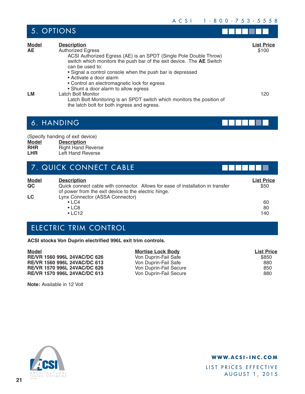- 1

. . . .

|                    | 5. OPTIONS                                                                                                                                                                                                                                                                                             |                            |
|--------------------|--------------------------------------------------------------------------------------------------------------------------------------------------------------------------------------------------------------------------------------------------------------------------------------------------------|----------------------------|
| <b>Model</b><br>AE | <b>Description</b><br><b>Authorized Egress</b><br>ACSI Authorized Egress (AE) is an SPDT (Single Pole Double Throw)<br>switch which monitors the push bar of the exit device. The AE Switch<br>can be used to:<br>• Signal a control console when the push bar is depressed<br>• Activate a door alarm | <b>List Price</b><br>\$100 |
| LМ                 | • Control an electromagnetic lock for egress<br>• Shunt a door alarm to allow egress<br>Latch Bolt Monitor<br>Latch Bolt Monitoring is an SPDT switch which monitors the position of<br>the latch bolt for both ingress and egress.                                                                    | 120                        |

## 6. HANDING

5. OPTIONS

(Specify handing of exit device)<br>**Model** Description

- **Model Description**<br> **RHR Right Hand F**
- **RHR** Right Hand Reverse<br> **LHR** Left Hand Reverse Left Hand Reverse

|  | 7. QUICK CONNECT CABLE |  |
|--|------------------------|--|
|--|------------------------|--|

| <b>Model</b> | <b>Description</b>                                                                                                                      | <b>List Price</b> |
|--------------|-----------------------------------------------------------------------------------------------------------------------------------------|-------------------|
| QC           | Quick connect cable with connector. Allows for ease of installation in transfer<br>of power from the exit device to the electric hinge. | \$50              |
| LC           | Lynx Connector (ASSA Connector)                                                                                                         |                   |
|              | $\cdot$ LC4                                                                                                                             | 60                |
|              | $\cdot$ LC8                                                                                                                             | 80                |
|              | $\cdot$ LC12                                                                                                                            | 140               |

## ELECTRIC TRIM CONTROL

**ACSI stocks Von Duprin electrified 996L exit trim controls.**

| <b>Model</b>                 | <b>Mortise Lock Body</b> | <b>List Price</b> |
|------------------------------|--------------------------|-------------------|
| RE/VR 1560 996L 24VAC/DC 626 | Von Duprin-Fail Safe     | \$850             |
| RE/VR 1560 996L 24VAC/DC 613 | Von Duprin-Fail Safe     | 880               |
| RE/VR 1570 996L 24VAC/DC 626 | Von Duprin-Fail Secure   | 850               |
| RE/VR 1570 996L 24VAC/DC 613 | Von Duprin-Fail Secure   | 880               |

**Note:** Available in 12 Volt



### **WWW.ACSI-INC.COM**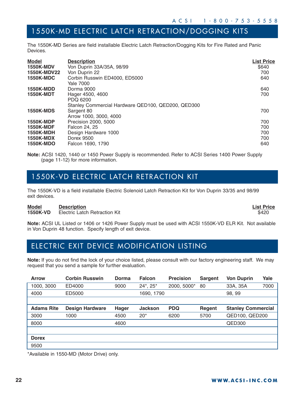## 1550K-MD ELECTRIC LATCH RETRACTION/DOGGING KITS

The 1550K-MD Series are field installable Electric Latch Retraction/Dogging Kits for Fire Rated and Panic Devices.

| <b>Model</b><br><b>1550K-MDV</b><br>1550K-MDV22<br><b>1550K-MDC</b>                              | <b>Description</b><br>Von Duprin 33A/35A, 98/99<br>Von Duprin 22<br>Corbin Russwin ED4000, ED5000<br>Yale 7000 | <b>List Price</b><br>\$640<br>700<br>640 |
|--------------------------------------------------------------------------------------------------|----------------------------------------------------------------------------------------------------------------|------------------------------------------|
| <b>1550K-MDD</b><br><b>1550K-MDT</b>                                                             | Dorma 9000<br>Hager 4500, 4600<br>PDQ 6200                                                                     | 640<br>700                               |
| <b>1550K-MDS</b>                                                                                 | Stanley Commercial Hardware QED100, QED200, QED300<br>Sargent 80<br>Arrow 1000, 3000, 4000                     | 700                                      |
| <b>1550K-MDP</b><br><b>1550K-MDF</b><br><b>1550K-MDH</b><br><b>1550K-MDX</b><br><b>1550K-MDO</b> | Precision 2000, 5000<br>Falcon 24, 25<br>Design Hardware 1000<br>Dorex 9500<br>Falcon 1690, 1790               | 700<br>700<br>700<br>700<br>640          |

**Note:** ACSI 1420, 1440 or 1450 Power Supply is recommended. Refer to ACSI Series 1400 Power Supply (page 11-12) for more information.

### 1550K-VD ELECTRIC LATCH RETRACTION KIT

The 1550K-VD is a field installable Electric Solenoid Latch Retraction Kit for Von Duprin 33/35 and 98/99 exit devices.

**Model Description List Price 1550K-VD** Electric Latch Retraction Kit **6420** 

**Note:** ACSI UL Listed or 1406 or 1426 Power Supply must be used with ACSI 1550K-VD ELR Kit. Not available in Von Duprin 48 function. Specify length of exit device.

## ELECTRIC EXIT DEVICE MODIFICATION LISTING

**Note:** If you do not find the lock of your choice listed, please consult with our factory engineering staff. We may request that you send a sample for further evaluation.

| <b>Arrow</b>      | <b>Corbin Russwin</b>  | Dorma        | <b>Falcon</b>   | <b>Precision</b> | <b>Sargent</b> | <b>Von Duprin</b>         | Yale |
|-------------------|------------------------|--------------|-----------------|------------------|----------------|---------------------------|------|
| 1000, 3000        | ED4000                 | 9000         | $24^*$ , $25^*$ | 2000, 5000*      | 80             | 33A, 35A                  | 7000 |
| 4000              | ED5000                 |              | 1690, 1790      |                  |                | 98, 99                    |      |
|                   |                        |              |                 |                  |                |                           |      |
| <b>Adams Rite</b> | <b>Design Hardware</b> | <b>Hager</b> | <b>Jackson</b>  | <b>PDQ</b>       | Regent         | <b>Stanley Commercial</b> |      |
| 3000              | 1000                   | 4500         | $20*$           | 6200             | 5700           | QED100, QED200            |      |
| 8000              |                        | 4600         |                 |                  |                | <b>QED300</b>             |      |
|                   |                        |              |                 |                  |                |                           |      |
| <b>Dorex</b>      |                        |              |                 |                  |                |                           |      |
| 9500              |                        |              |                 |                  |                |                           |      |

\*Available in 1550-MD (Motor Drive) only.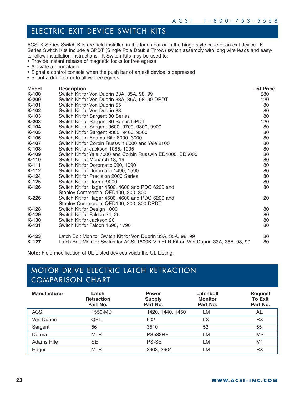## ELECTRIC EXIT DEVICE SWITCH KITS

ACSI K Series Switch Kits are field installed in the touch bar or in the hinge style case of an exit device. K Series Switch Kits include a SPDT (Single Pole Double Throw) switch assembly with long wire leads and easyto-follow installation instructions. K Switch Kits may be used to:

- Provide instant release of magnetic locks for free egress
- Activate a door alarm
- Signal a control console when the push bar of an exit device is depressed
- Shunt a door alarm to allow free egress

| Model   | <b>Description</b>                                                                 | <b>List Price</b> |
|---------|------------------------------------------------------------------------------------|-------------------|
| K-100   | Switch Kit for Von Duprin 33A, 35A, 98, 99                                         | \$80              |
| K-200   | Switch Kit for Von Duprin 33A, 35A, 98, 99 DPDT                                    | 120               |
| K-101   | Switch Kit for Von Duprin 55                                                       | 80                |
| K-102   | Switch Kit for Von Duprin 88                                                       | 80                |
| K-103   | Switch Kit for Sargent 80 Series                                                   | 80                |
| $K-203$ | Switch Kit for Sargent 80 Series DPDT                                              | 120               |
| K-104   | Switch Kit for Sargent 9600, 9700, 9800, 9900                                      | 80                |
| $K-105$ | Switch Kit for Sargent 9300, 9400, 9500                                            | 80                |
| K-106   | Switch Kit for Adams Rite 8000, 3000                                               | 80                |
| K-107   | Switch Kit for Corbin Russwin 8000 and Yale 2100                                   | 80                |
| K-108   | Switch Kit for Jackson 1085, 1095                                                  | 80                |
| K-109   | Switch Kit for Yale 7000 and Corbin Russwin ED4000, ED5000                         | 80                |
| K-110   | Switch Kit for Monarch 18, 19                                                      | 80                |
| $K-111$ | Switch Kit for Doromatic 990, 1090                                                 | 80                |
| K-112   | Switch Kit for Doromatic 1490, 1590                                                | 80                |
| K-124   | Switch Kit for Precision 2000 Series                                               | 80                |
| $K-125$ | Switch Kit for Dorma 9000                                                          | 80                |
| $K-126$ | Switch Kit for Hager 4500, 4600 and PDQ 6200 and                                   | 80                |
|         | Stanley Commercial QED100, 200, 300                                                |                   |
| K-226   | Switch Kit for Hager 4500, 4600 and PDQ 6200 and                                   | 120               |
|         | Stanley Commercial QED100, 200, 300 DPDT                                           |                   |
| K-128   | Switch Kit for Design 1000                                                         | 80                |
| K-129   | Switch Kit for Falcon 24, 25                                                       | 80                |
| K-130   | Switch Kit for Jackson 20                                                          | 80                |
| K-131   | Switch Kit for Falcon 1690, 1790                                                   | 80                |
| $K-123$ | Latch Bolt Monitor Switch Kit for Von Duprin 33A, 35A, 98, 99                      | 80                |
| K-127   | Latch Bolt Monitor Switch for ACSI 1500K-VD ELR Kit on Von Duprin 33A, 35A. 98, 99 | 80                |

**Note:** Field modification of UL Listed devices voids the UL Listing.

## MOTOR DRIVE ELECTRIC LATCH RETRACTION COMPARISON CHART

| <b>Manufacturer</b> | Latch<br><b>Retraction</b><br>Part No. | <b>Power</b><br><b>Supply</b><br>Part No. | Latchbolt<br><b>Monitor</b><br>Part No. | <b>Request</b><br><b>To Exit</b><br>Part No. |
|---------------------|----------------------------------------|-------------------------------------------|-----------------------------------------|----------------------------------------------|
| <b>ACSI</b>         | 1550-MD                                | 1420, 1440, 1450                          | LM                                      | AE                                           |
| Von Duprin          | QEL                                    | 902                                       | LX                                      | RX                                           |
| Sargent             | 56                                     | 3510                                      | 53                                      | 55                                           |
| Dorma               | <b>MLR</b>                             | <b>PS532RF</b>                            | LM                                      | ΜS                                           |
| <b>Adams Rite</b>   | SE                                     | <b>PS-SE</b>                              | LM                                      | M1                                           |
| Hager               | <b>MLR</b>                             | 2903, 2904                                | LM                                      | RX                                           |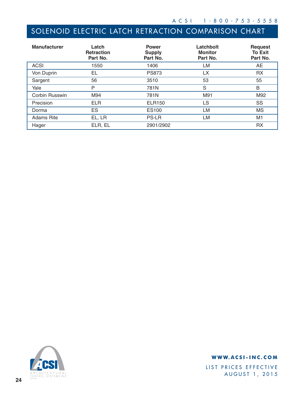## SOLENOID ELECTRIC LATCH RETRACTION COMPARISON CHART

| <b>Manufacturer</b> | Latch<br><b>Retraction</b><br>Part No. | <b>Power</b><br><b>Supply</b><br>Part No. | Latchbolt<br><b>Monitor</b><br>Part No. | <b>Request</b><br><b>To Exit</b><br>Part No. |
|---------------------|----------------------------------------|-------------------------------------------|-----------------------------------------|----------------------------------------------|
| <b>ACSI</b>         | 1550                                   | 1406                                      | LM                                      | AE                                           |
| Von Duprin          | EL                                     | <b>PS873</b>                              | LX                                      | <b>RX</b>                                    |
| Sargent             | 56                                     | 3510                                      | 53                                      | 55                                           |
| Yale                | P                                      | 781N                                      | S                                       | B                                            |
| Corbin Russwin      | M94                                    | 781N                                      | M91                                     | M92                                          |
| Precision           | <b>ELR</b>                             | <b>ELR150</b>                             | <b>LS</b>                               | SS                                           |
| Dorma               | ES                                     | ES100                                     | LM                                      | <b>MS</b>                                    |
| <b>Adams Rite</b>   | EL, LR                                 | <b>PS-LR</b>                              | LM                                      | M1                                           |
| Hager               | ELR, EL                                | 2901/2902                                 |                                         | RX                                           |



### **WWW.ACSI-INC.COM**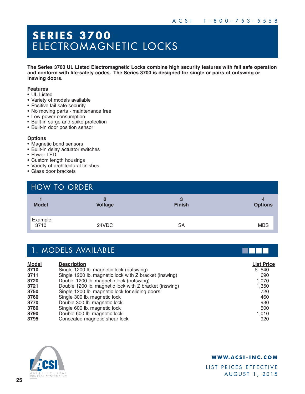## **SERIES 3700**  ELECTROMAGNETIC LOCKS

**The Series 3700 UL Listed Electromagnetic Locks combine high security features with fail safe operation and conform with life-safety codes. The Series 3700 is designed for single or pairs of outswing or inswing doors.**

#### **Features**

- UL Listed
- Variety of models available
- Positive fail safe security
- No moving parts maintenance free
- Low power consumption
- Built-in surge and spike protection
- Built-in door position sensor

#### **Options**

- Magnetic bond sensors
- Built-in delay actuator switches
- Power LED
- Custom length housings
- Variety of architectural finishes
- Glass door brackets

| <b>HOW TO ORDER</b> |                     |                    |                     |
|---------------------|---------------------|--------------------|---------------------|
| <b>Model</b>        | 2<br><b>Voltage</b> | 3<br><b>Finish</b> | 4<br><b>Options</b> |
| Example:<br>3710    | 24VDC               | SA                 | <b>MBS</b>          |

|              | 1. MODELS AVAILABLE                                    |                   |
|--------------|--------------------------------------------------------|-------------------|
| <b>Model</b> | <b>Description</b>                                     | <b>List Price</b> |
| 3710         | Single 1200 lb. magnetic lock (outswing)               | \$540             |
| 3711         | Single 1200 lb. magnetic lock with Z bracket (inswing) | 690               |
| 3720         | Double 1200 lb. magnetic lock (outswing)               | 1,070             |
| 3721         | Double 1200 lb. magnetic lock with Z bracket (inswing) | 1,350             |
| 3750         | Single 1200 lb. magnetic lock for sliding doors        | 720               |
| 3760         | Single 300 lb. magnetic lock                           | 460               |
| 3770         | Double 300 lb. magnetic lock                           | 930               |
| 3780         | Single 600 lb. magnetic lock                           | 500               |
| 3790         | Double 600 lb. magnetic lock                           | 1,010             |
| 3795         | Concealed magnetic shear lock                          | 920               |



#### **WWW.ACSI-INC.COM**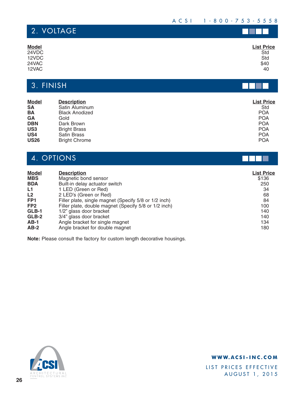### ACSI 1-800-753-5558

N I

ПU

| 2. VOLTAGE   |                   |
|--------------|-------------------|
| <b>Model</b> | <b>List Price</b> |
| 24VDC        | Std               |
| 12VDC        | Std               |
| 24VAC        |                   |
| 12VAC        | \$40<br>40        |

## 3. FINISH

| <b>Model</b><br><b>SA</b> | <b>Description</b><br>Satin Aluminum | <b>List Price</b><br>Std |
|---------------------------|--------------------------------------|--------------------------|
| BA                        | <b>Black Anodized</b>                | <b>POA</b>               |
| GA                        | Gold                                 | <b>POA</b>               |
| <b>DBN</b>                | Dark Brown                           | <b>POA</b>               |
| US <sub>3</sub>           | <b>Bright Brass</b>                  | <b>POA</b>               |
| US <sub>4</sub>           | <b>Satin Brass</b>                   | <b>POA</b>               |
| <b>US26</b>               | <b>Bright Chrome</b>                 | <b>POA</b>               |

## 4. OPTIONS

| <b>Model</b>    | <b>Description</b>                                    | <b>List Price</b> |
|-----------------|-------------------------------------------------------|-------------------|
| <b>MBS</b>      | Magnetic bond sensor                                  | \$136             |
| <b>BDA</b>      | Built-in delay actuator switch                        | 250               |
| L1              | 1 LED (Green or Red)                                  | 34                |
| L <sub>2</sub>  | 2 LED's (Green or Red)                                | 68                |
| FP <sub>1</sub> | Filler plate, single magnet (Specify 5/8 or 1/2 inch) | 84                |
| FP <sub>2</sub> | Filler plate, double magnet (Specify 5/8 or 1/2 inch) | 100               |
| GLB-1           | 1/2" glass door bracket                               | 140               |
| GLB-2           | 3/4" glass door bracket                               | 140               |
| $AB-1$          | Angle bracket for single magnet                       | 134               |
| $AB-2$          | Angle bracket for double magnet                       | 180               |

**Note:** Please consult the factory for custom length decorative housings.



### **WWW.ACSI-INC.COM**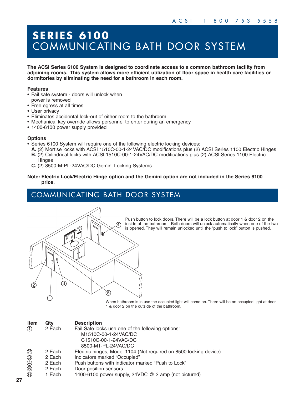# **SERIES 6100** COMMUNICATING BATH DOOR SYSTEM

**The ACSI Series 6100 System is designed to coordinate access to a common bathroom facility from adjoining rooms. This system allows more efficient utilization of floor space in health care facilities or dormitories by eliminating the need for a bathroom in each room.**

#### **Features**

- Fail safe system doors will unlock when
- power is removed • Free egress at all times
- User privacy
- Eliminates accidental lock-out of either room to the bathroom
- Mechanical key override allows personnel to enter during an emergency
- 1400-6100 power supply provided

#### **Options**

- Series 6100 System will require one of the following electric locking devices:
	- **A.** (2) Mortise locks with ACSI 1510C-00-1-24VAC/DC modifications plus (2) ACSI Series 1100 Electric Hinges **B.** (2) Cylindrical locks with ACSI 1510C-00-1-24VAC/DC modifications plus (2) ACSI Series 1100 Electric **Hinges**
	- **C.** (2) 8500-M-PL-24VAC/DC Gemini Locking Systems
- **Note: Electric Lock/Electric Hinge option and the Gemini option are not included in the Series 6100 price.**

## COMMUNICATING BATH DOOR SYSTEM



Push button to lock doors. There will be a lock button at door 1 & door 2 on the inside of the bathroom. Both doors will unlock automatically when one of the two is opened. They will remain unlocked until the "push to lock" button is pushed.

When bathroom is in use the occupied light will come on. There will be an occupied light at door 1 & door 2 on the outside of the bathroom.

| <b>Item</b>    | Qty    | <b>Description</b>                                                |
|----------------|--------|-------------------------------------------------------------------|
| $\circled{f}$  | 2 Each | Fail Safe locks use one of the following options:                 |
|                |        | M1510C-00-1-24VAC/DC                                              |
|                |        | C1510C-00-1-24VAC/DC                                              |
|                |        | 8500-M1-PL-24VAC/DC                                               |
|                | 2 Each | Electric hinges, Model 1104 (Not required on 8500 locking device) |
|                | 2 Each | Indicators marked "Occupied"                                      |
|                | 2 Each | Push buttons with indicator marked "Push to Lock"                 |
|                | 2 Each | Door position sensors                                             |
| $\circledcirc$ | 1 Each | 1400-6100 power supply, 24VDC @ 2 amp (not pictured)              |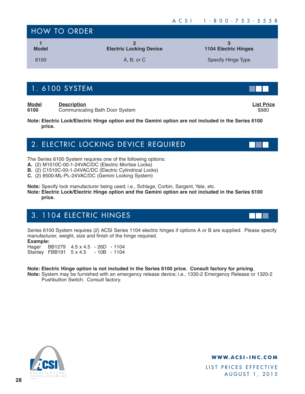| <b>HOW TO ORDER</b> |                                |                             |  |
|---------------------|--------------------------------|-----------------------------|--|
| <b>Model</b>        | <b>Electric Locking Device</b> | <b>1104 Electric Hinges</b> |  |
| 6100                | A, B, or C                     | <b>Specify Hinge Type</b>   |  |

## 1. 6100 SYSTEM

**Model Description List Price 6100** Communicating Bath Door System **\$880** Communicating Bath Door System **\$880** 

**Note: Electric Lock/Electric Hinge option and the Gemini option are not included in the Series 6100 price.**

## 2. ELECTRIC LOCKING DEVICE REQUIRED

The Series 6100 System requires one of the following options:

- **A.** (2) M1510C-00-1-24VAC/DC (Electric Mortise Locks)
- **B.** (2) C1510C-00-1-24VAC/DC (Electric Cylindrical Locks)
- **C.** (2) 8500-ML-PL-24VAC/DC (Gemini Locking System)

**Note:** Specify lock manufacturer being used; i.e., Schlage, Corbin, Sargent, Yale, etc.

**Note: Electric Lock/Electric Hinge option and the Gemini option are not included in the Series 6100 price.**

## 3. 1104 ELECTRIC HINGES

Series 6100 System requires (2) ACSI Series 1104 electric hinges if options A or B are supplied. Please specify manufacturer, weight, size and finish of the hinge required.

**Example:**

Hager BB1279 4.5 x 4.5 - 26D - 1104 Stanley FBB191 5 x 4.5 - 10B - 1104

### **Note: Electric Hinge option is not included in the Series 6100 price. Consult factory for pricing**.

**Note:** System may be furnished with an emergency release device; i.e., 1330-2 Emergency Release or 1320-2 Pushbutton Switch. Consult factory.



**WWW.ACSI-INC.COM**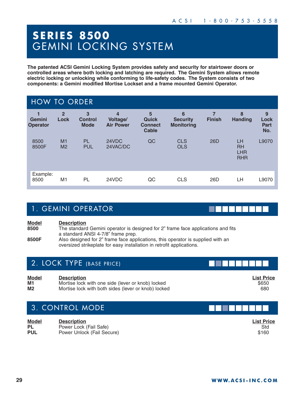## **SERIES 8500**  GEMINI LOCKING SYSTEM

**The patented ACSI Gemini Locking System provides safety and security for stairtower doors or controlled areas where both locking and latching are required. The Gemini System allows remote electric locking or unlocking while conforming to life-safety codes. The System consists of two components: a Gemini modified Mortise Lockset and a frame mounted Gemini Operator.**

| <b>HOW TO ORDER</b>       |                        |                                               |                                   |                                              |                                           |               |                                             |                                 |
|---------------------------|------------------------|-----------------------------------------------|-----------------------------------|----------------------------------------------|-------------------------------------------|---------------|---------------------------------------------|---------------------------------|
| Gemini<br><b>Operator</b> | $\overline{2}$<br>Lock | $\mathbf{3}$<br><b>Control</b><br><b>Mode</b> | 4<br>Voltage/<br><b>Air Power</b> | 5<br>Quick<br><b>Connect</b><br><b>Cable</b> | 6<br><b>Security</b><br><b>Monitoring</b> | <b>Finish</b> | 8<br><b>Handing</b>                         | 9<br>Lock<br><b>Part</b><br>No. |
| 8500<br>8500F             | M1<br>M <sub>2</sub>   | <b>PL</b><br><b>PUL</b>                       | 24VDC<br>24VAC/DC                 | QC                                           | <b>CLS</b><br><b>OLS</b>                  | 26D           | LH<br><b>RH</b><br><b>LHR</b><br><b>RHR</b> | L9070                           |
| Example:<br>8500          | M1                     | PL                                            | 24VDC                             | QC                                           | <b>CLS</b>                                | 26D           | LH                                          | L9070                           |

## 1. GEMINI OPERATOR

**Model Description 8500** The standard Gemini operator is designed for 2" frame face applications and fits a standard ANSI 4-7/8" frame prep. **8500F** Also designed for 2" frame face applications, this operator is supplied with an oversized strikeplate for easy installation in retrofit applications.

### 2. LOCK TYPE (BASE PRICE)

**Model Description List Price M1** Mortise lock with one side (lever or knob) locked \$650 **Mortise lock with both sides (lever or knob) locked 680 and the signal control 680 and 680 and 680 and 680 and 680 and 680 and 680 and 680 and 680 and 680 and 680 and 680 and 680 and 680 and 680 and 680 and 680 and 680 an** 

## 3. CONTROL MODE

**Model Description List Price PL** Power Lock (Fail Safe) Std Power Unlock (Fail Secure)

1 - 1 - 1 - 1 - 1 -

. . . . . .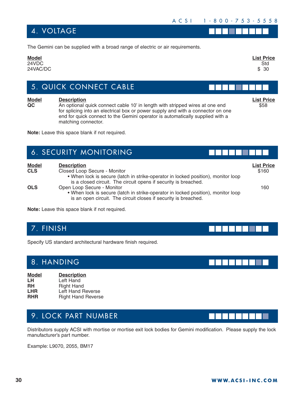### 4. VOLTAGE

| <b>List Price</b> |
|-------------------|
| Std               |
| \$30              |
|                   |
|                   |

## 5. QUICK CONNECT CABLE

**Model Description List Price QC** An optional quick connect cable 10' in length with stripped wires at one end \$58 for splicing into an electrical box or power supply and with a connector on one end for quick connect to the Gemini operator is automatically supplied with a matching connector.

**Note:** Leave this space blank if not required.

|                            | 6. SECURITY MONITORING                                                                                                                                                                                     |                            |
|----------------------------|------------------------------------------------------------------------------------------------------------------------------------------------------------------------------------------------------------|----------------------------|
| <b>Model</b><br><b>CLS</b> | <b>Description</b><br>Closed Loop Secure - Monitor<br>. When lock is secure (latch in strike-operator in locked position), monitor loop<br>is a closed circuit. The circuit opens if security is breached. | <b>List Price</b><br>\$160 |
| <b>OLS</b>                 | Open Loop Secure - Monitor<br>. When lock is secure (latch in strike-operator in locked position), monitor loop<br>is an open circuit. The circuit closes if security is breached.                         | 160                        |

**Note:** Leave this space blank if not required.

## 7. FINISH

Specify US standard architectural hardware finish required.

## 8. HANDING

| <b>Model</b> | <b>Description</b>        |
|--------------|---------------------------|
| LH.          | Left Hand                 |
| <b>RH</b>    | <b>Right Hand</b>         |
| <b>LHR</b>   | Left Hand Reverse         |
| <b>RHR</b>   | <b>Right Hand Reverse</b> |

## 9. LOCK PART NUMBER

Distributors supply ACSI with mortise or mortise exit lock bodies for Gemini modification. Please supply the lock manufacturer's part number.

Example: L9070, 2055, BM17



--------

n din sa sa san



n na mara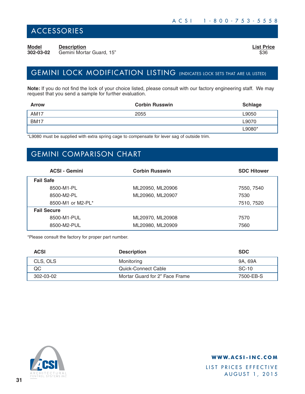## ACCESSORIES

**Model Description List Price 302-03-02** Gemini Mortar Guard, 15" **\$36 \$36** 

## GEMINI LOCK MODIFICATION LISTING (INDICATES LOCK SETS THAT ARE UL LISTED)

**Note:** If you do not find the lock of your choice listed, please consult with our factory engineering staff. We may request that you send a sample for further evaluation.

| <b>Arrow</b> | <b>Corbin Russwin</b> | <b>Schlage</b> |
|--------------|-----------------------|----------------|
| <b>AM17</b>  | 2055                  | L9050          |
| <b>BM17</b>  |                       | L9070          |
|              |                       | L9080*         |

\*L9080 must be supplied with extra spring cage to compensate for lever sag of outside trim.

## GEMINI COMPARISON CHART

| <b>ACSI - Gemini</b> | <b>Corbin Russwin</b> | <b>SDC Hitower</b> |  |
|----------------------|-----------------------|--------------------|--|
| <b>Fail Safe</b>     |                       |                    |  |
| 8500-M1-PL           | ML20950, ML20906      | 7550, 7540         |  |
| 8500-M2-PL           | ML20960, ML20907      | 7530               |  |
| 8500-M1 or M2-PL*    |                       | 7510, 7520         |  |
| <b>Fail Secure</b>   |                       |                    |  |
| 8500-M1-PUL          | ML20970, ML20908      | 7570               |  |
| 8500-M2-PUL          | ML20980, ML20909      | 7560               |  |

\*Please consult the factory for proper part number.

| <b>ACSI</b> | <b>Description</b>             | <b>SDC</b> |
|-------------|--------------------------------|------------|
| CLS, OLS    | Monitoring                     | 9A. 69A    |
| QC          | Quick-Connect Cable            | SC-10      |
| 302-03-02   | Mortar Guard for 2" Face Frame | 7500-EB-S  |



### **WWW.ACSI-INC.COM**